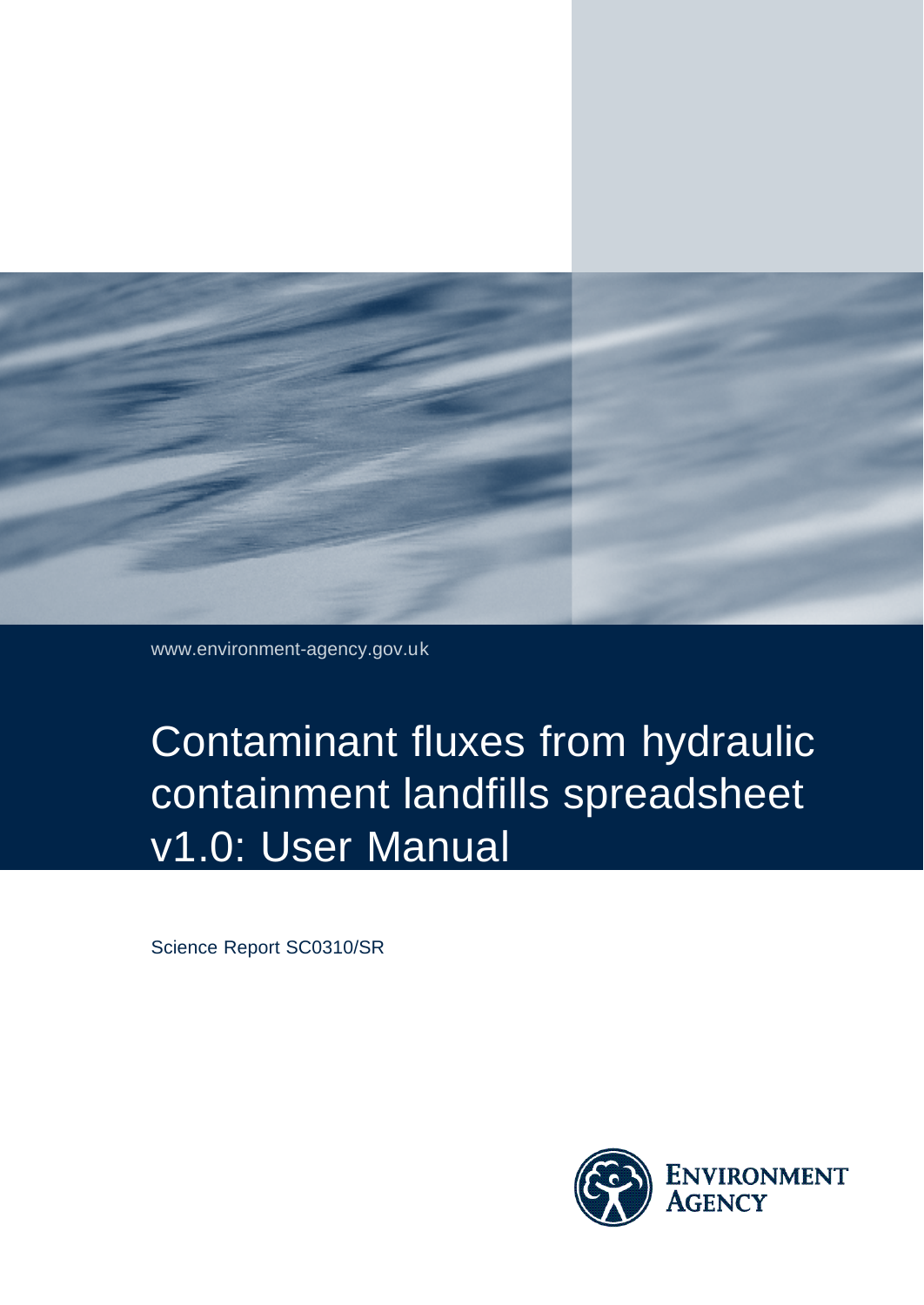

www.environment-agency.gov.uk

# Contaminant fluxes from hydraulic containment landfills spreadsheet v1.0: User Manual

Science Report SC0310/SR

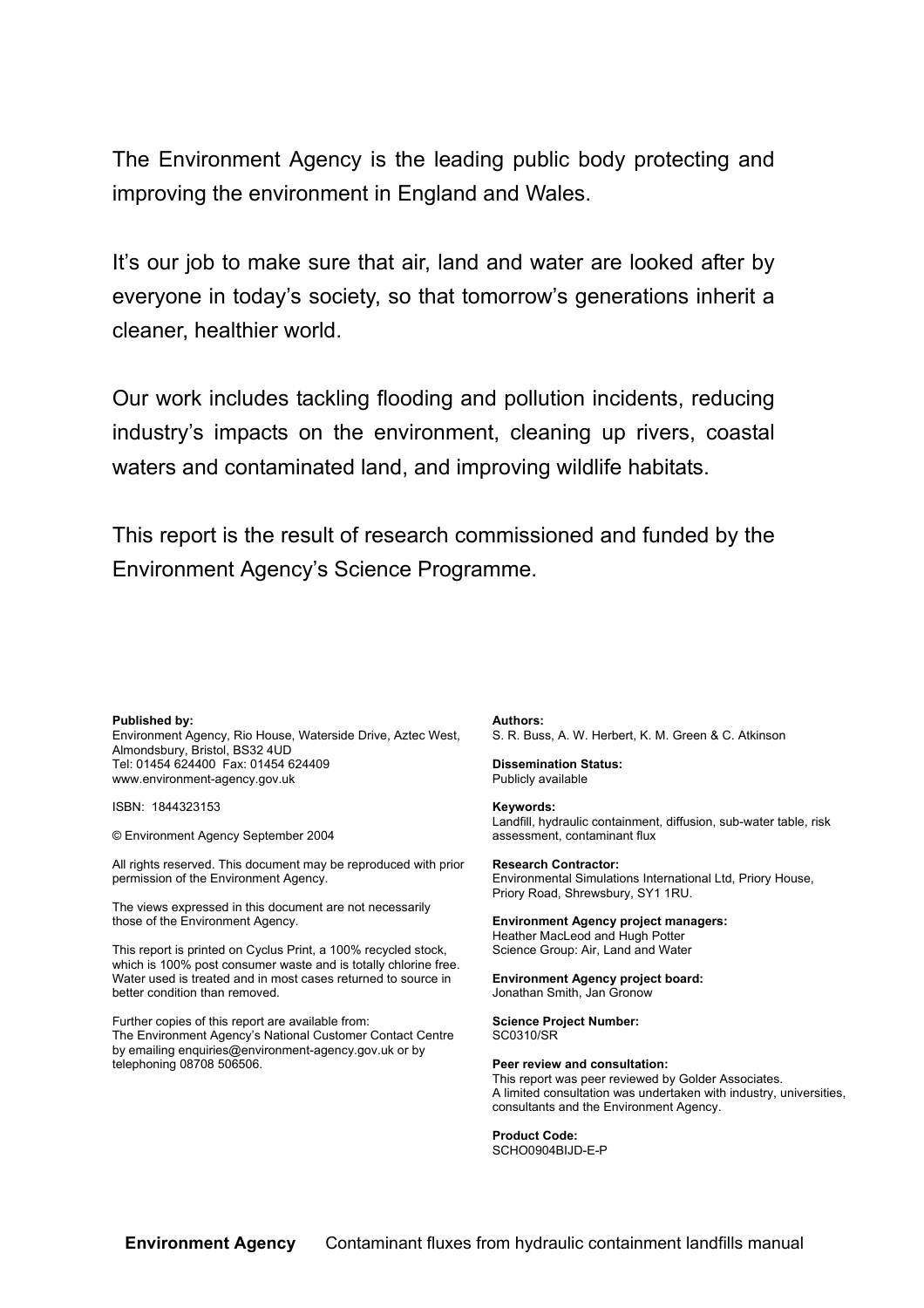The Environment Agency is the leading public body protecting and improving the environment in England and Wales.

It's our job to make sure that air, land and water are looked after by everyone in today's society, so that tomorrow's generations inherit a cleaner, healthier world.

Our work includes tackling flooding and pollution incidents, reducing industry's impacts on the environment, cleaning up rivers, coastal waters and contaminated land, and improving wildlife habitats.

This report is the result of research commissioned and funded by the Environment Agency's Science Programme.

#### **Published by:**

Environment Agency, Rio House, Waterside Drive, Aztec West, Almondsbury, Bristol, BS32 4UD Tel: 01454 624400 Fax: 01454 624409 www.environment-agency.gov.uk

ISBN: 1844323153

© Environment Agency September 2004

All rights reserved. This document may be reproduced with prior permission of the Environment Agency.

The views expressed in this document are not necessarily those of the Environment Agency.

This report is printed on Cyclus Print, a 100% recycled stock, which is 100% post consumer waste and is totally chlorine free. Water used is treated and in most cases returned to source in better condition than removed.

Further copies of this report are available from: The Environment Agency's National Customer Contact Centre by emailing enquiries@environment-agency.gov.uk or by telephoning 08708 506506.

**Authors:**

S. R. Buss, A. W. Herbert, K. M. Green & C. Atkinson

**Dissemination Status:** Publicly available

**Keywords:**

Landfill, hydraulic containment, diffusion, sub-water table, risk assessment, contaminant flux

**Research Contractor:** Environmental Simulations International Ltd, Priory House, Priory Road, Shrewsbury, SY1 1RU.

**Environment Agency project managers:** Heather MacLeod and Hugh Potter Science Group: Air, Land and Water

**Environment Agency project board:** Jonathan Smith, Jan Gronow

**Science Project Number:** SC0310/SR

**Peer review and consultation:** This report was peer reviewed by Golder Associates. A limited consultation was undertaken with industry, universities, consultants and the Environment Agency.

**Product Code:** SCHO0904BIJD-E-P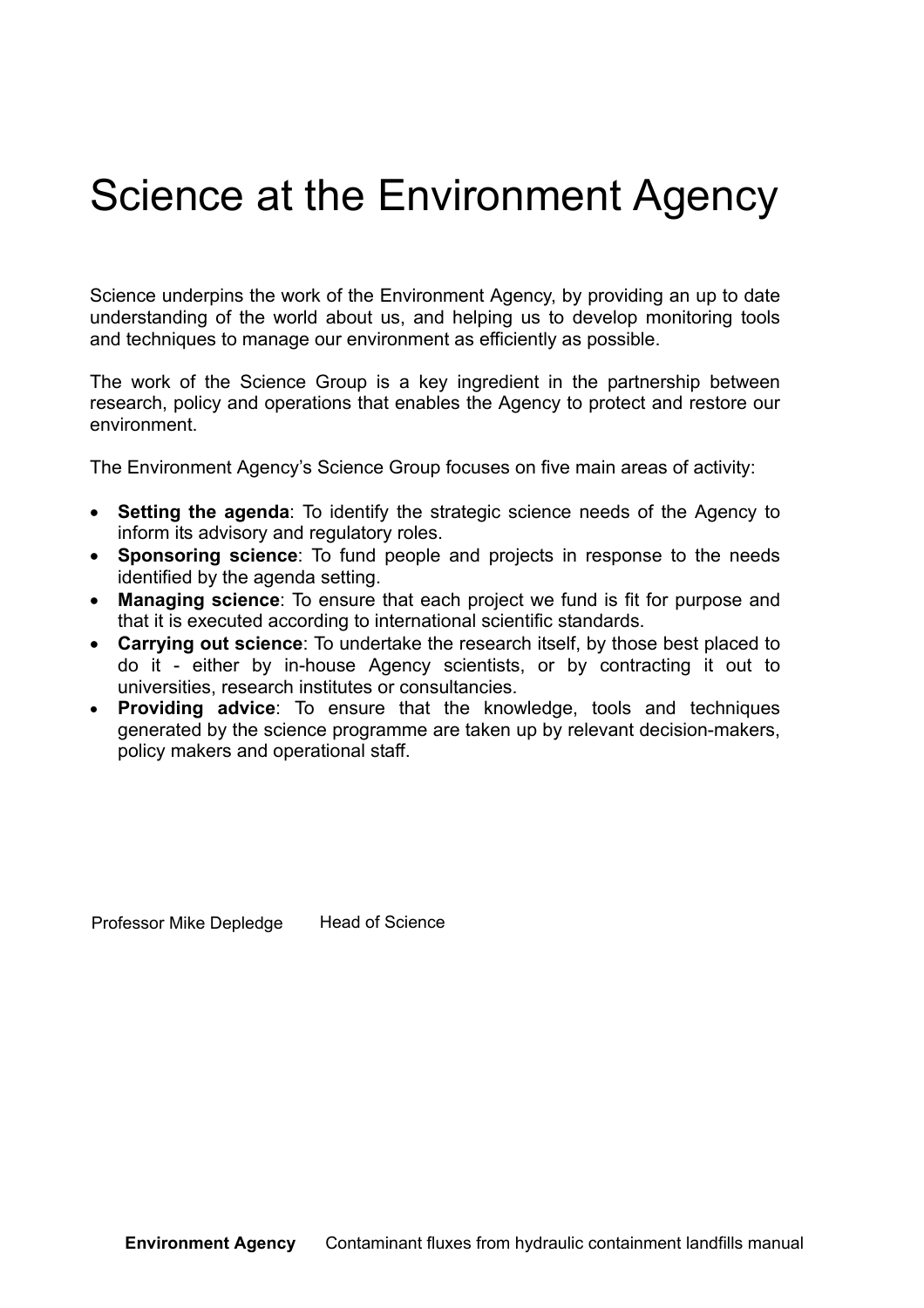## Science at the Environment Agency

Science underpins the work of the Environment Agency, by providing an up to date understanding of the world about us, and helping us to develop monitoring tools and techniques to manage our environment as efficiently as possible.

The work of the Science Group is a key ingredient in the partnership between research, policy and operations that enables the Agency to protect and restore our environment.

The Environment Agency's Science Group focuses on five main areas of activity:

- **Setting the agenda**: To identify the strategic science needs of the Agency to inform its advisory and regulatory roles.
- **Sponsoring science**: To fund people and projects in response to the needs identified by the agenda setting.
- **Managing science**: To ensure that each project we fund is fit for purpose and that it is executed according to international scientific standards.
- **Carrying out science**: To undertake the research itself, by those best placed to do it - either by in-house Agency scientists, or by contracting it out to universities, research institutes or consultancies.
- **Providing advice**: To ensure that the knowledge, tools and techniques generated by the science programme are taken up by relevant decision-makers, policy makers and operational staff.

Professor Mike Depledge Head of Science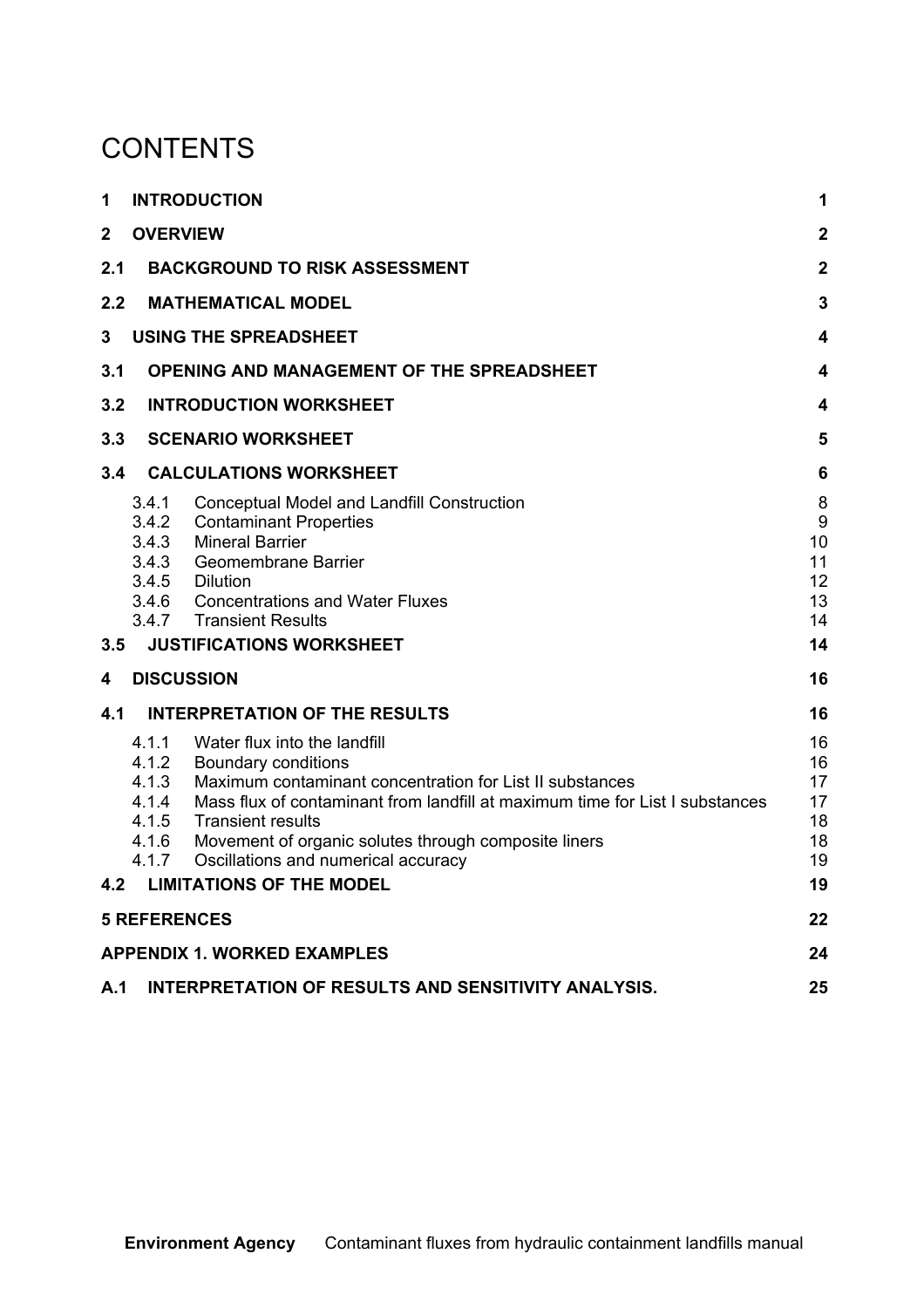### **CONTENTS**

| 1              |                                                       | <b>INTRODUCTION</b>                                                                                                                                                                                                                                                                                                                                          | 1                                            |  |  |  |  |  |
|----------------|-------------------------------------------------------|--------------------------------------------------------------------------------------------------------------------------------------------------------------------------------------------------------------------------------------------------------------------------------------------------------------------------------------------------------------|----------------------------------------------|--|--|--|--|--|
| $\overline{2}$ | <b>OVERVIEW</b>                                       |                                                                                                                                                                                                                                                                                                                                                              | $\overline{2}$                               |  |  |  |  |  |
| 2.1            |                                                       | <b>BACKGROUND TO RISK ASSESSMENT</b>                                                                                                                                                                                                                                                                                                                         | $\overline{2}$                               |  |  |  |  |  |
| 2.2            |                                                       | <b>MATHEMATICAL MODEL</b>                                                                                                                                                                                                                                                                                                                                    | 3                                            |  |  |  |  |  |
| 3              |                                                       | <b>USING THE SPREADSHEET</b>                                                                                                                                                                                                                                                                                                                                 | 4                                            |  |  |  |  |  |
| 3.1            | <b>OPENING AND MANAGEMENT OF THE SPREADSHEET</b><br>4 |                                                                                                                                                                                                                                                                                                                                                              |                                              |  |  |  |  |  |
| 3.2            | <b>INTRODUCTION WORKSHEET</b><br>4                    |                                                                                                                                                                                                                                                                                                                                                              |                                              |  |  |  |  |  |
| 3.3            | <b>SCENARIO WORKSHEET</b><br>5                        |                                                                                                                                                                                                                                                                                                                                                              |                                              |  |  |  |  |  |
| 3.4            |                                                       | <b>CALCULATIONS WORKSHEET</b>                                                                                                                                                                                                                                                                                                                                | 6                                            |  |  |  |  |  |
| 3.5            | 3.4.1<br>3.4.2<br>3.4.3<br>3.4.3<br>3.4.6<br>3.4.7    | <b>Conceptual Model and Landfill Construction</b><br><b>Contaminant Properties</b><br><b>Mineral Barrier</b><br>Geomembrane Barrier<br>3.4.5 Dilution<br><b>Concentrations and Water Fluxes</b><br><b>Transient Results</b><br><b>JUSTIFICATIONS WORKSHEET</b>                                                                                               | 8<br>9<br>10<br>11<br>12<br>13<br>14<br>14   |  |  |  |  |  |
| 4              |                                                       | <b>DISCUSSION</b>                                                                                                                                                                                                                                                                                                                                            | 16                                           |  |  |  |  |  |
| 4.1            |                                                       | <b>INTERPRETATION OF THE RESULTS</b>                                                                                                                                                                                                                                                                                                                         | 16                                           |  |  |  |  |  |
| 4.2            | 4.1.1<br>4.1.2<br>4.1.3<br>4.1.4<br>4.1.6<br>4.1.7    | Water flux into the landfill<br>Boundary conditions<br>Maximum contaminant concentration for List II substances<br>Mass flux of contaminant from landfill at maximum time for List I substances<br>4.1.5 Transient results<br>Movement of organic solutes through composite liners<br>Oscillations and numerical accuracy<br><b>LIMITATIONS OF THE MODEL</b> | 16<br>16<br>17<br>17<br>18<br>18<br>19<br>19 |  |  |  |  |  |
|                | <b>5 REFERENCES</b>                                   |                                                                                                                                                                                                                                                                                                                                                              | 22                                           |  |  |  |  |  |
|                |                                                       | <b>APPENDIX 1. WORKED EXAMPLES</b>                                                                                                                                                                                                                                                                                                                           | 24                                           |  |  |  |  |  |
| A.1            |                                                       | INTERPRETATION OF RESULTS AND SENSITIVITY ANALYSIS.                                                                                                                                                                                                                                                                                                          | 25                                           |  |  |  |  |  |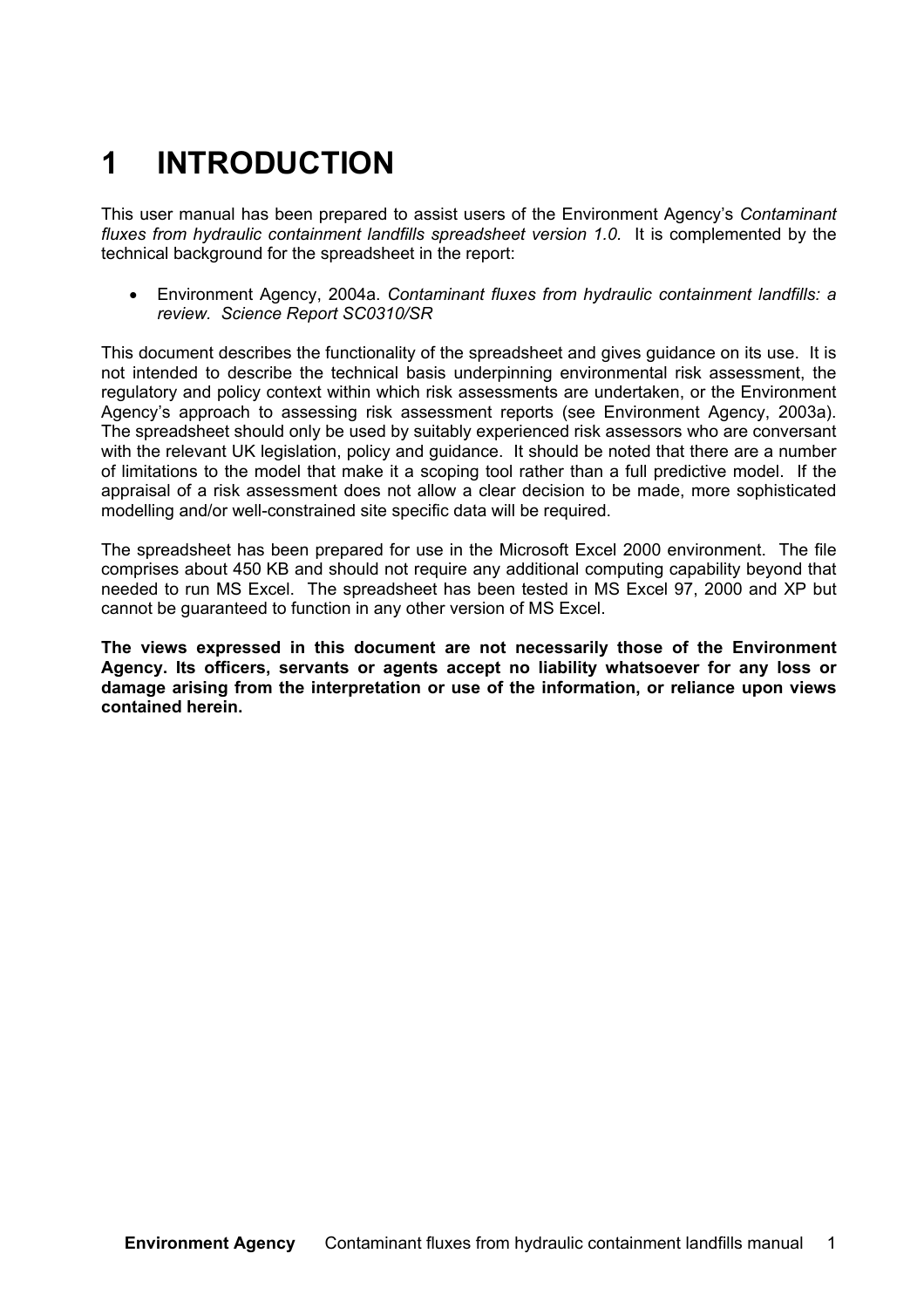## **1 INTRODUCTION**

This user manual has been prepared to assist users of the Environment Agency's *Contaminant fluxes from hydraulic containment landfills spreadsheet version 1.0.* It is complemented by the technical background for the spreadsheet in the report:

• Environment Agency, 2004a. *Contaminant fluxes from hydraulic containment landfills: a review. Science Report SC0310/SR*

This document describes the functionality of the spreadsheet and gives guidance on its use. It is not intended to describe the technical basis underpinning environmental risk assessment, the regulatory and policy context within which risk assessments are undertaken, or the Environment Agency's approach to assessing risk assessment reports (see Environment Agency, 2003a). The spreadsheet should only be used by suitably experienced risk assessors who are conversant with the relevant UK legislation, policy and guidance. It should be noted that there are a number of limitations to the model that make it a scoping tool rather than a full predictive model. If the appraisal of a risk assessment does not allow a clear decision to be made, more sophisticated modelling and/or well-constrained site specific data will be required.

The spreadsheet has been prepared for use in the Microsoft Excel 2000 environment. The file comprises about 450 KB and should not require any additional computing capability beyond that needed to run MS Excel. The spreadsheet has been tested in MS Excel 97, 2000 and XP but cannot be guaranteed to function in any other version of MS Excel.

**The views expressed in this document are not necessarily those of the Environment Agency. Its officers, servants or agents accept no liability whatsoever for any loss or damage arising from the interpretation or use of the information, or reliance upon views contained herein.**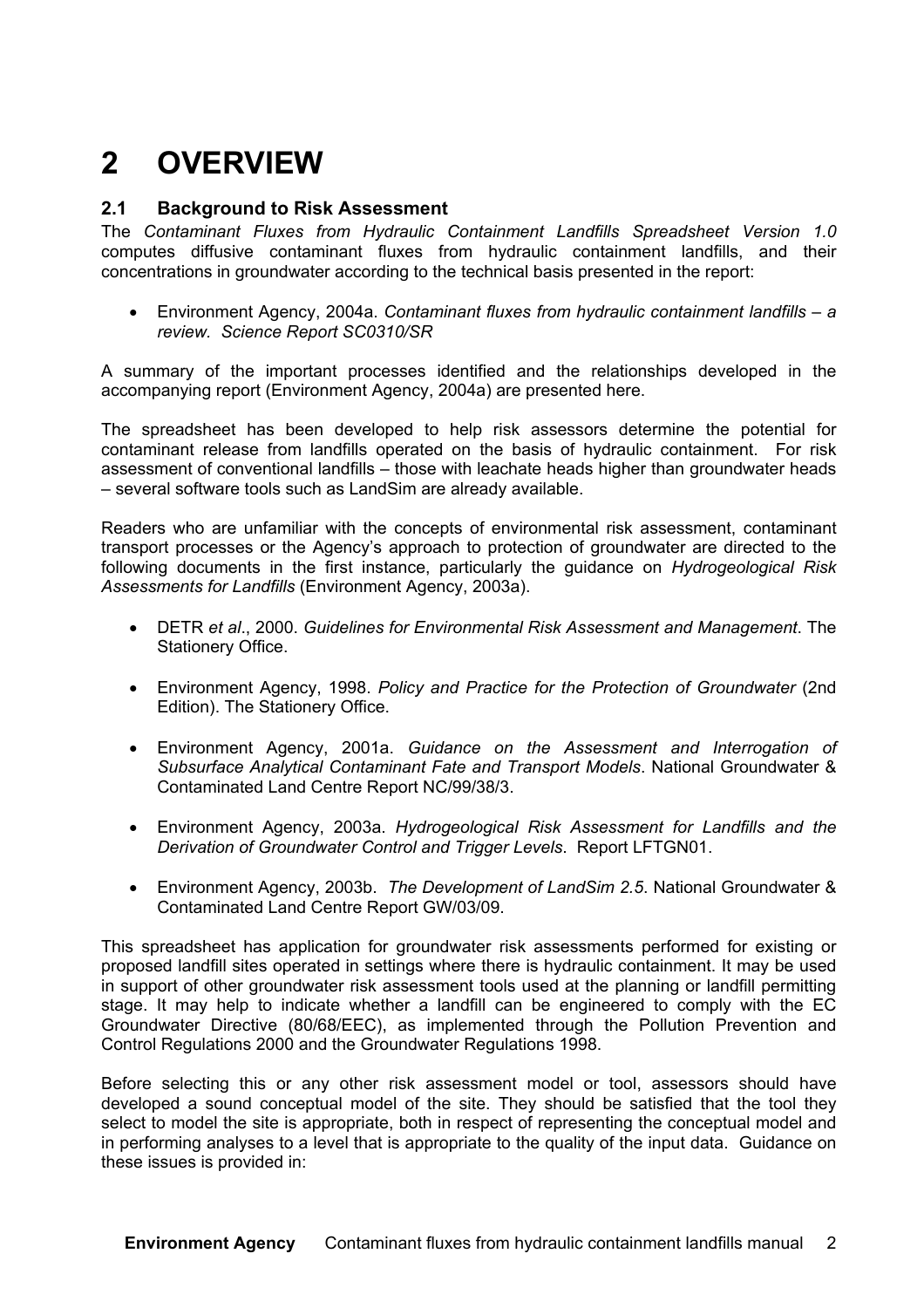### **2 OVERVIEW**

#### **2.1 Background to Risk Assessment**

The *Contaminant Fluxes from Hydraulic Containment Landfills Spreadsheet Version 1.0* computes diffusive contaminant fluxes from hydraulic containment landfills, and their concentrations in groundwater according to the technical basis presented in the report:

• Environment Agency, 2004a. *Contaminant fluxes from hydraulic containment landfills – a review. Science Report SC0310/SR*

A summary of the important processes identified and the relationships developed in the accompanying report (Environment Agency, 2004a) are presented here.

The spreadsheet has been developed to help risk assessors determine the potential for contaminant release from landfills operated on the basis of hydraulic containment. For risk assessment of conventional landfills – those with leachate heads higher than groundwater heads – several software tools such as LandSim are already available.

Readers who are unfamiliar with the concepts of environmental risk assessment, contaminant transport processes or the Agency's approach to protection of groundwater are directed to the following documents in the first instance, particularly the guidance on *Hydrogeological Risk Assessments for Landfills* (Environment Agency, 2003a).

- DETR *et al*., 2000. *Guidelines for Environmental Risk Assessment and Management*. The Stationery Office.
- Environment Agency, 1998. *Policy and Practice for the Protection of Groundwater* (2nd Edition). The Stationery Office.
- Environment Agency, 2001a. *Guidance on the Assessment and Interrogation of Subsurface Analytical Contaminant Fate and Transport Models*. National Groundwater & Contaminated Land Centre Report NC/99/38/3.
- Environment Agency, 2003a. *Hydrogeological Risk Assessment for Landfills and the Derivation of Groundwater Control and Trigger Levels*. Report LFTGN01.
- Environment Agency, 2003b. *The Development of LandSim 2.5*. National Groundwater & Contaminated Land Centre Report GW/03/09.

This spreadsheet has application for groundwater risk assessments performed for existing or proposed landfill sites operated in settings where there is hydraulic containment. It may be used in support of other groundwater risk assessment tools used at the planning or landfill permitting stage. It may help to indicate whether a landfill can be engineered to comply with the EC Groundwater Directive (80/68/EEC), as implemented through the Pollution Prevention and Control Regulations 2000 and the Groundwater Regulations 1998.

Before selecting this or any other risk assessment model or tool, assessors should have developed a sound conceptual model of the site. They should be satisfied that the tool they select to model the site is appropriate, both in respect of representing the conceptual model and in performing analyses to a level that is appropriate to the quality of the input data. Guidance on these issues is provided in: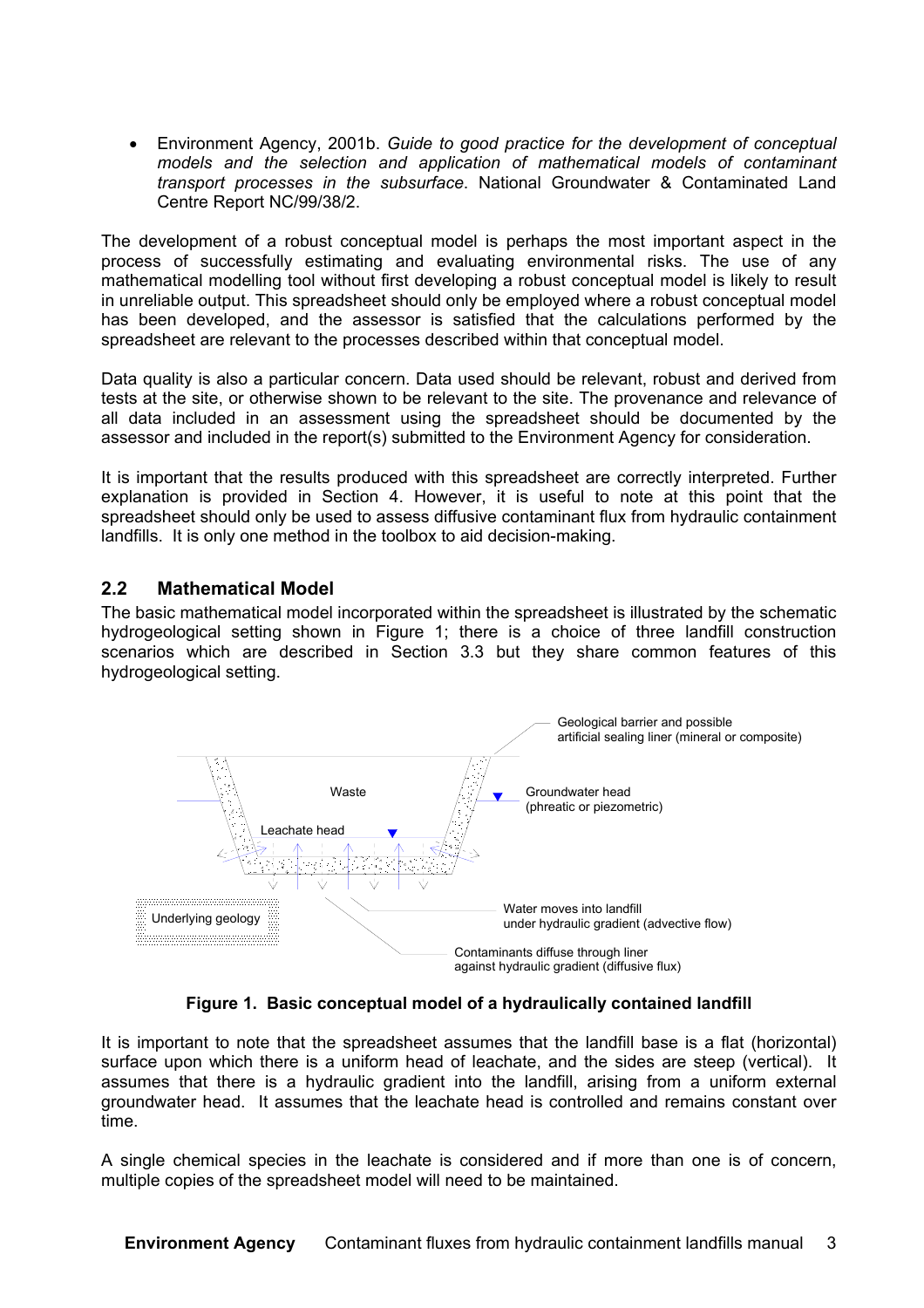• Environment Agency, 2001b. *Guide to good practice for the development of conceptual models and the selection and application of mathematical models of contaminant transport processes in the subsurface*. National Groundwater & Contaminated Land Centre Report NC/99/38/2.

The development of a robust conceptual model is perhaps the most important aspect in the process of successfully estimating and evaluating environmental risks. The use of any mathematical modelling tool without first developing a robust conceptual model is likely to result in unreliable output. This spreadsheet should only be employed where a robust conceptual model has been developed, and the assessor is satisfied that the calculations performed by the spreadsheet are relevant to the processes described within that conceptual model.

Data quality is also a particular concern. Data used should be relevant, robust and derived from tests at the site, or otherwise shown to be relevant to the site. The provenance and relevance of all data included in an assessment using the spreadsheet should be documented by the assessor and included in the report(s) submitted to the Environment Agency for consideration.

It is important that the results produced with this spreadsheet are correctly interpreted. Further explanation is provided in Section 4. However, it is useful to note at this point that the spreadsheet should only be used to assess diffusive contaminant flux from hydraulic containment landfills. It is only one method in the toolbox to aid decision-making.

#### **2.2 Mathematical Model**

The basic mathematical model incorporated within the spreadsheet is illustrated by the schematic hydrogeological setting shown in Figure 1; there is a choice of three landfill construction scenarios which are described in Section 3.3 but they share common features of this hydrogeological setting.



**Figure 1. Basic conceptual model of a hydraulically contained landfill**

It is important to note that the spreadsheet assumes that the landfill base is a flat (horizontal) surface upon which there is a uniform head of leachate, and the sides are steep (vertical). It assumes that there is a hydraulic gradient into the landfill, arising from a uniform external groundwater head. It assumes that the leachate head is controlled and remains constant over time.

A single chemical species in the leachate is considered and if more than one is of concern, multiple copies of the spreadsheet model will need to be maintained.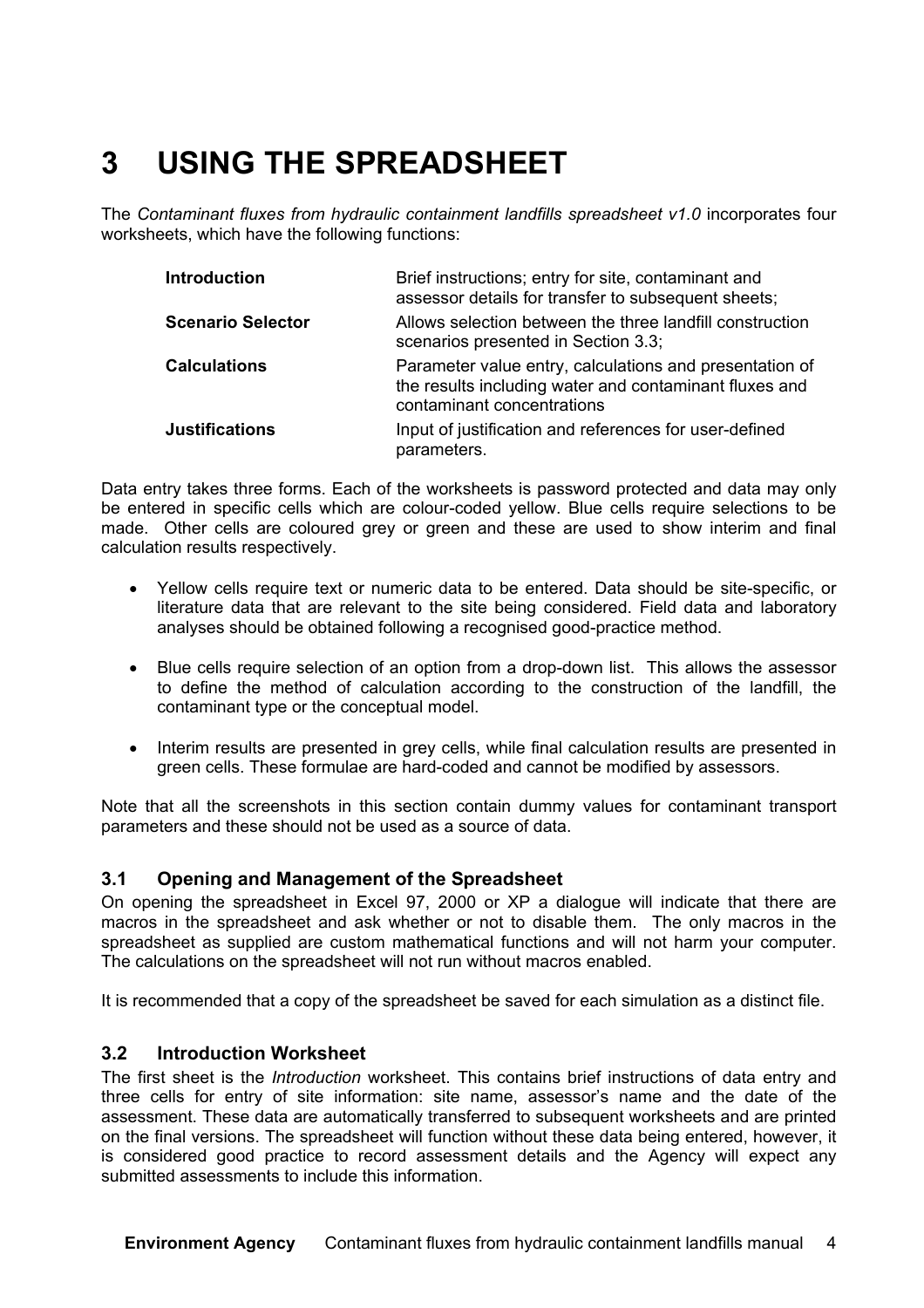### **3 USING THE SPREADSHEET**

The *Contaminant fluxes from hydraulic containment landfills spreadsheet v1.0* incorporates four worksheets, which have the following functions:

| <b>Introduction</b>      | Brief instructions; entry for site, contaminant and<br>assessor details for transfer to subsequent sheets;                                      |
|--------------------------|-------------------------------------------------------------------------------------------------------------------------------------------------|
| <b>Scenario Selector</b> | Allows selection between the three landfill construction<br>scenarios presented in Section 3.3;                                                 |
| <b>Calculations</b>      | Parameter value entry, calculations and presentation of<br>the results including water and contaminant fluxes and<br>contaminant concentrations |
| <b>Justifications</b>    | Input of justification and references for user-defined<br>parameters.                                                                           |

Data entry takes three forms. Each of the worksheets is password protected and data may only be entered in specific cells which are colour-coded yellow. Blue cells require selections to be made. Other cells are coloured grey or green and these are used to show interim and final calculation results respectively.

- Yellow cells require text or numeric data to be entered. Data should be site-specific, or literature data that are relevant to the site being considered. Field data and laboratory analyses should be obtained following a recognised good-practice method.
- Blue cells require selection of an option from a drop-down list. This allows the assessor to define the method of calculation according to the construction of the landfill, the contaminant type or the conceptual model.
- Interim results are presented in grey cells, while final calculation results are presented in green cells. These formulae are hard-coded and cannot be modified by assessors.

Note that all the screenshots in this section contain dummy values for contaminant transport parameters and these should not be used as a source of data.

#### **3.1 Opening and Management of the Spreadsheet**

On opening the spreadsheet in Excel 97, 2000 or XP a dialogue will indicate that there are macros in the spreadsheet and ask whether or not to disable them. The only macros in the spreadsheet as supplied are custom mathematical functions and will not harm your computer. The calculations on the spreadsheet will not run without macros enabled.

It is recommended that a copy of the spreadsheet be saved for each simulation as a distinct file.

#### **3.2 Introduction Worksheet**

The first sheet is the *Introduction* worksheet. This contains brief instructions of data entry and three cells for entry of site information: site name, assessor's name and the date of the assessment. These data are automatically transferred to subsequent worksheets and are printed on the final versions. The spreadsheet will function without these data being entered, however, it is considered good practice to record assessment details and the Agency will expect any submitted assessments to include this information.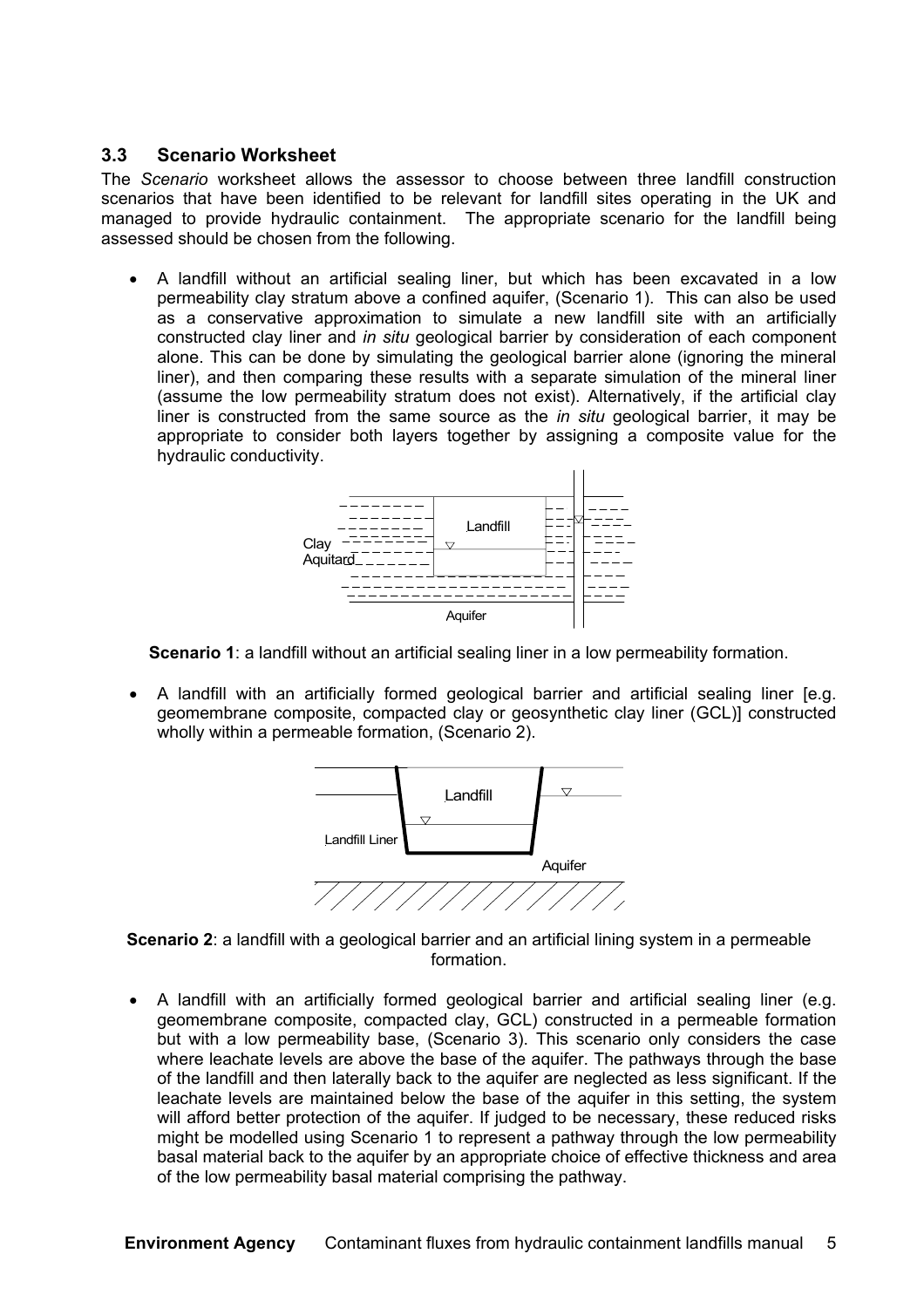#### **3.3 Scenario Worksheet**

The *Scenario* worksheet allows the assessor to choose between three landfill construction scenarios that have been identified to be relevant for landfill sites operating in the UK and managed to provide hydraulic containment. The appropriate scenario for the landfill being assessed should be chosen from the following.

• A landfill without an artificial sealing liner, but which has been excavated in a low permeability clay stratum above a confined aquifer, (Scenario 1). This can also be used as a conservative approximation to simulate a new landfill site with an artificially constructed clay liner and *in situ* geological barrier by consideration of each component alone. This can be done by simulating the geological barrier alone (ignoring the mineral liner), and then comparing these results with a separate simulation of the mineral liner (assume the low permeability stratum does not exist). Alternatively, if the artificial clay liner is constructed from the same source as the *in situ* geological barrier, it may be appropriate to consider both layers together by assigning a composite value for the hydraulic conductivity.



**Scenario 1**: a landfill without an artificial sealing liner in a low permeability formation.

• A landfill with an artificially formed geological barrier and artificial sealing liner [e.g. geomembrane composite, compacted clay or geosynthetic clay liner (GCL)] constructed wholly within a permeable formation, (Scenario 2).



**Scenario 2**: a landfill with a geological barrier and an artificial lining system in a permeable formation.

• A landfill with an artificially formed geological barrier and artificial sealing liner (e.g. geomembrane composite, compacted clay, GCL) constructed in a permeable formation but with a low permeability base, (Scenario 3). This scenario only considers the case where leachate levels are above the base of the aquifer. The pathways through the base of the landfill and then laterally back to the aquifer are neglected as less significant. If the leachate levels are maintained below the base of the aquifer in this setting, the system will afford better protection of the aquifer. If judged to be necessary, these reduced risks might be modelled using Scenario 1 to represent a pathway through the low permeability basal material back to the aquifer by an appropriate choice of effective thickness and area of the low permeability basal material comprising the pathway.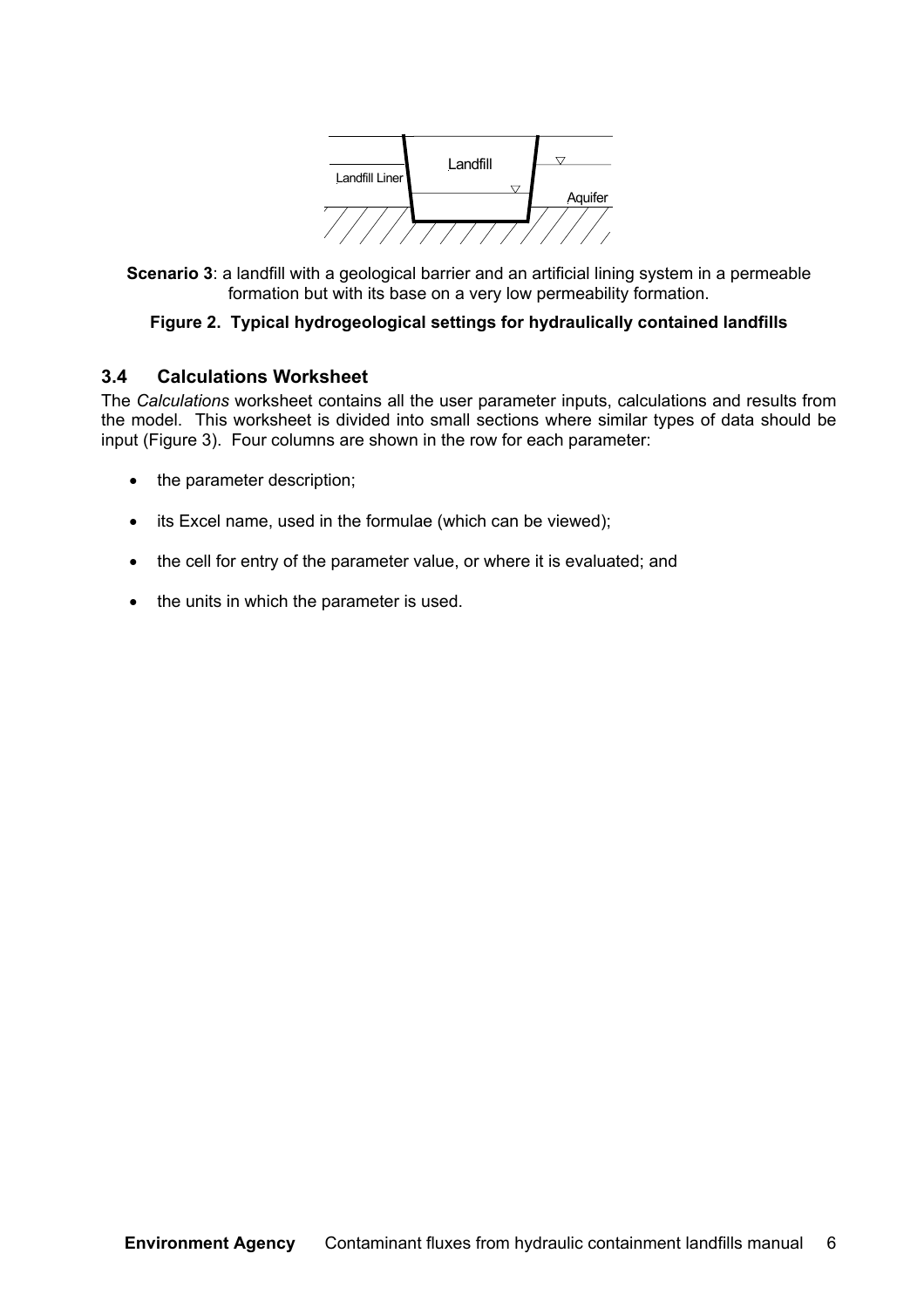

**Scenario 3**: a landfill with a geological barrier and an artificial lining system in a permeable formation but with its base on a very low permeability formation.

#### **Figure 2. Typical hydrogeological settings for hydraulically contained landfills**

#### **3.4 Calculations Worksheet**

The *Calculations* worksheet contains all the user parameter inputs, calculations and results from the model. This worksheet is divided into small sections where similar types of data should be input (Figure 3). Four columns are shown in the row for each parameter:

- the parameter description;
- its Excel name, used in the formulae (which can be viewed);
- the cell for entry of the parameter value, or where it is evaluated; and
- the units in which the parameter is used.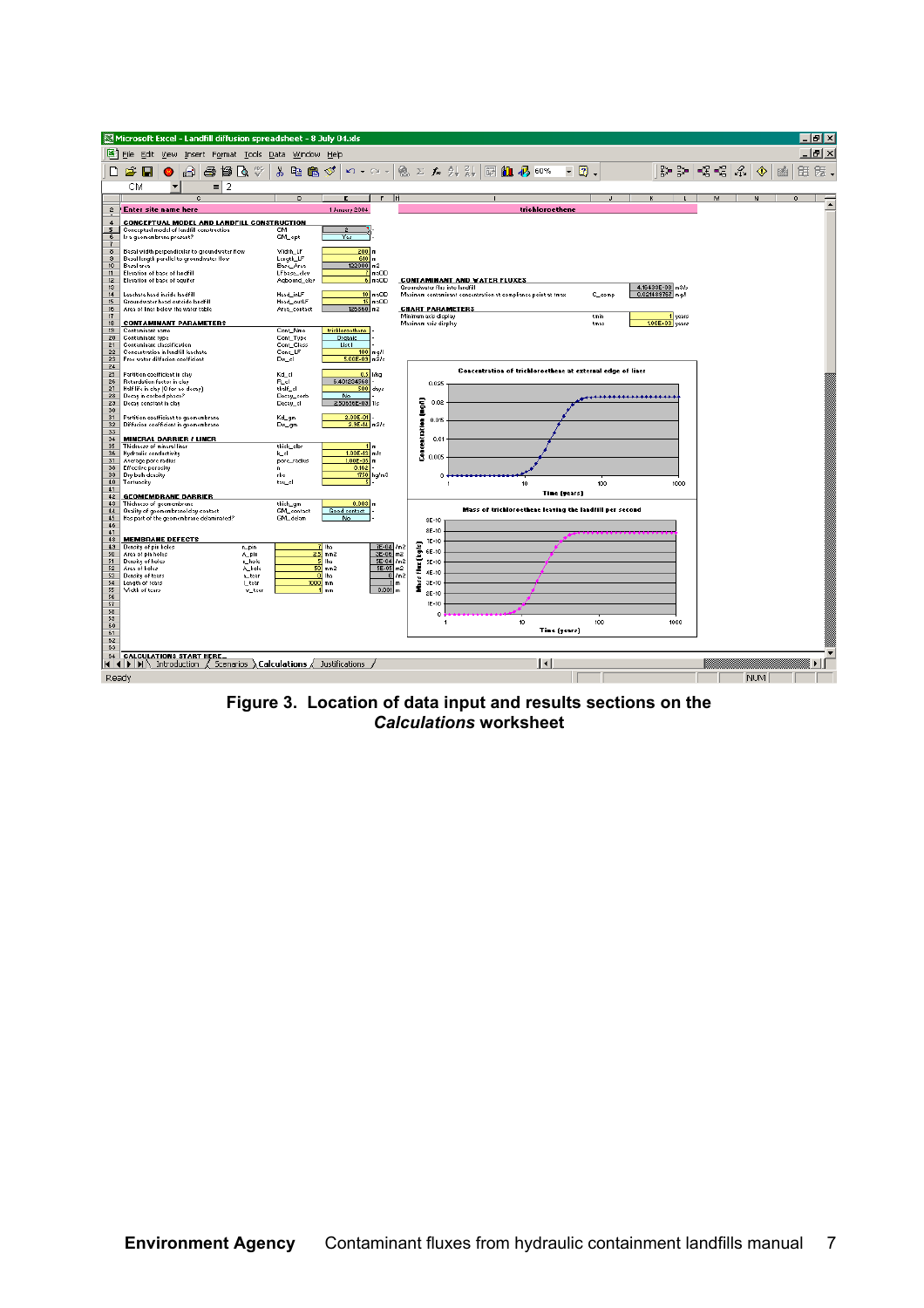|                                   |                   |                                        |                                                               |                                                                                            |          |    |                  |             | Microsoft Excel - Landfill diffusion spreadsheet - 8 July 04.xls |                      |                                                                                               |                        |           |               |                                              |                                     |  |                                                               |     |              |              |        |   |                           |   |   |    |            |   |         | $ \sigma$ $\mathsf{I}$ $\times$ |
|-----------------------------------|-------------------|----------------------------------------|---------------------------------------------------------------|--------------------------------------------------------------------------------------------|----------|----|------------------|-------------|------------------------------------------------------------------|----------------------|-----------------------------------------------------------------------------------------------|------------------------|-----------|---------------|----------------------------------------------|-------------------------------------|--|---------------------------------------------------------------|-----|--------------|--------------|--------|---|---------------------------|---|---|----|------------|---|---------|---------------------------------|
|                                   |                   |                                        | 图 File Edit View                                              |                                                                                            |          |    |                  |             | Insert F <u>o</u> rmat <u>T</u> ools <u>D</u> ata Window Help    |                      |                                                                                               |                        |           |               |                                              |                                     |  |                                                               |     |              |              |        |   |                           |   |   |    |            |   |         | $  $ $\sigma$ $ $ $\times$      |
| ▯                                 | Ê                 | Ы                                      |                                                               | €                                                                                          | 8        | 督  | Q                | ¥,          | 电追                                                               | ನ                    | $\mathbf{K}$ $\mathbf{V}$ $\mathbf{V}$ $\mathbf{V}$ $\mathbf{V}$ $\mathbf{V}$                 |                        |           |               |                                              |                                     |  | <b>Q ∑ な ま る 岡 仙 あ 60%</b>                                    |     | $\bullet$    | ø            |        |   | ₽.<br>뫬.                  | ⊀ | € | Ą. | ◈          | 國 | 第       | 既.                              |
|                                   |                   |                                        |                                                               |                                                                                            |          |    |                  |             |                                                                  |                      |                                                                                               |                        |           |               |                                              |                                     |  |                                                               |     |              |              |        |   |                           |   |   |    |            |   |         |                                 |
|                                   | CМ                |                                        |                                                               | $\overline{c}$                                                                             | $\equiv$ | -2 |                  |             | D                                                                |                      | F                                                                                             | F                      |           |               |                                              |                                     |  |                                                               |     |              |              |        |   | L                         |   | M |    | N          |   | $\circ$ |                                 |
| $\mathbf{2}$                      |                   |                                        | <b>Enter site name here</b>                                   |                                                                                            |          |    |                  |             |                                                                  |                      | 1 January 2004                                                                                |                        |           |               |                                              |                                     |  | trichloroethene                                               |     |              |              |        |   |                           |   |   |    |            |   |         |                                 |
| $\overline{4}$                    |                   |                                        |                                                               | CONCEPTUAL MODEL AND LANDFILL CONSTRUCTION                                                 |          |    |                  |             |                                                                  |                      |                                                                                               |                        |           |               |                                              |                                     |  |                                                               |     |              |              |        |   |                           |   |   |    |            |   |         |                                 |
| 5                                 |                   |                                        |                                                               | Conceptual model of landfill construction                                                  |          |    |                  | cм          |                                                                  |                      |                                                                                               |                        |           |               |                                              |                                     |  |                                                               |     |              |              |        |   |                           |   |   |    |            |   |         |                                 |
| $6\overline{6}$<br>$\overline{1}$ |                   |                                        | ls a geomembrane present?                                     |                                                                                            |          |    |                  |             | GM_opt                                                           |                      | Yes                                                                                           |                        |           |               |                                              |                                     |  |                                                               |     |              |              |        |   |                           |   |   |    |            |   |         |                                 |
| $\,$ 8                            |                   |                                        |                                                               | Basal width perpendicular to groundwater flow<br>Basal length parallel to groundwater flow |          |    |                  |             | Width_LF<br>Length_LF                                            |                      | 200<br>610                                                                                    | l m                    |           |               |                                              |                                     |  |                                                               |     |              |              |        |   |                           |   |   |    |            |   |         |                                 |
| $\mathbf{3}$<br>10 <sub>10</sub>  |                   | Basal area                             |                                                               |                                                                                            |          |    |                  |             | Base_Area                                                        |                      | 122000 m2                                                                                     |                        |           |               |                                              |                                     |  |                                                               |     |              |              |        |   |                           |   |   |    |            |   |         |                                 |
| 11<br>12                          |                   |                                        | Elevation of base of landfill<br>Elevation of base of aquifer |                                                                                            |          |    |                  |             | LFbase_elev<br>Agbound_elev                                      |                      |                                                                                               | maOD<br>$6 \mod 6$     |           |               |                                              | <b>CONTAMINANT AND WATER FLUXES</b> |  |                                                               |     |              |              |        |   |                           |   |   |    |            |   |         |                                 |
| 13                                |                   |                                        |                                                               |                                                                                            |          |    |                  |             |                                                                  |                      |                                                                                               |                        |           |               |                                              | Groundwater flux into landfill      |  |                                                               |     |              |              |        |   | 4.16433E-08 m3/s          |   |   |    |            |   |         |                                 |
| 14<br>15                          |                   |                                        | Leachate head inside landfill                                 | Groundwater head outside landfill                                                          |          |    |                  |             | Head_inLF<br>Head_outLF                                          |                      | 15                                                                                            | $10 \mod 10$<br>maOD   |           |               |                                              |                                     |  | Maximum contaminant concentration at compliance point at tmax |     |              |              | C_comp |   | 0.021489767 mg/l          |   |   |    |            |   |         |                                 |
| 16<br>17                          |                   |                                        |                                                               | Area of liner below the water table                                                        |          |    |                  |             | Area_contact                                                     |                      | 126860                                                                                        | m <sup>2</sup>         |           |               |                                              | <b>CHART PARAMETERS</b>             |  |                                                               |     |              |              |        |   |                           |   |   |    |            |   |         |                                 |
| 18                                |                   |                                        |                                                               | <b>CONTAMINANT PARAMETERS</b>                                                              |          |    |                  |             |                                                                  |                      |                                                                                               |                        |           |               | Minimum axis display<br>Maximum axis display |                                     |  |                                                               |     |              | tmin<br>tmax |        |   | years<br>$1.00E+03$ years |   |   |    |            |   |         |                                 |
| 19<br>20                          |                   | Contaminant name<br>Contaminant type   |                                                               |                                                                                            |          |    |                  |             | Cont_Nme<br>Cont_Type                                            |                      | trichloroethene<br>Organic                                                                    |                        |           |               |                                              |                                     |  |                                                               |     |              |              |        |   |                           |   |   |    |            |   |         |                                 |
| 21                                |                   |                                        | Contaminant classification                                    |                                                                                            |          |    |                  |             | Cont_Class                                                       |                      | List I                                                                                        |                        |           |               |                                              |                                     |  |                                                               |     |              |              |        |   |                           |   |   |    |            |   |         |                                 |
| 22<br>23                          |                   |                                        |                                                               | <b>Concentration in landfill leachate</b><br>Free water diffusion coefficient              |          |    |                  | $Dw\_cl$    | Conc_LF                                                          |                      | 5.00E-09 m2/s                                                                                 | $100$ <sub>mg</sub> /l |           |               |                                              |                                     |  |                                                               |     |              |              |        |   |                           |   |   |    |            |   |         |                                 |
| 24<br>25                          |                   |                                        |                                                               |                                                                                            |          |    |                  |             |                                                                  |                      |                                                                                               |                        |           |               |                                              |                                     |  | Concentration of trichloroethene at external edge of liner    |     |              |              |        |   |                           |   |   |    |            |   |         |                                 |
| $\overline{26}$                   |                   |                                        | Partition coefficient in clay<br>Retardation factor in clay   |                                                                                            |          |    |                  | Kd_d<br>R_d |                                                                  |                      | 6.401234568                                                                                   | $0.5$ l/kg             |           |               | 0.025                                        |                                     |  |                                                               |     |              |              |        |   |                           |   |   |    |            |   |         |                                 |
| 27<br>28                          |                   |                                        | Decay in porbed phape?                                        | Half life in clay (0 for no decay)                                                         |          |    |                  | thalf_cl    | Decay_sorb                                                       |                      | 500<br>No                                                                                     | days                   |           |               |                                              |                                     |  |                                                               |     |              |              |        | . |                           |   |   |    |            |   |         |                                 |
| 29                                |                   |                                        | Decay constant in clay                                        |                                                                                            |          |    |                  |             | Decay_cl                                                         |                      | 2.50656E-03                                                                                   | 1ls                    |           | Ī             | 0.02                                         |                                     |  |                                                               |     |              |              |        |   |                           |   |   |    |            |   |         |                                 |
| 30<br>31                          |                   |                                        |                                                               | Partition coefficient to geomembrane                                                       |          |    |                  | Kd_gm       |                                                                  |                      | 2.00E-01                                                                                      |                        |           |               |                                              |                                     |  |                                                               |     |              |              |        |   |                           |   |   |    |            |   |         |                                 |
| 32<br>33                          |                   |                                        |                                                               | Diffusion coefficient in geomembrane                                                       |          |    |                  | $Dw\_gm$    |                                                                  |                      | 2.3E-14 m2/s                                                                                  |                        |           | Concentration | 0.015                                        |                                     |  |                                                               |     |              |              |        |   |                           |   |   |    |            |   |         |                                 |
| 34                                |                   |                                        |                                                               | <b>MINERAL BARRIER / LINER</b>                                                             |          |    |                  |             |                                                                  |                      |                                                                                               |                        |           |               | 0.01                                         |                                     |  |                                                               |     |              |              |        |   |                           |   |   |    |            |   |         |                                 |
| 35<br>36                          |                   |                                        | Thickness of mineral liner<br><b>Hydraulic conductivity</b>   |                                                                                            |          |    |                  | k_d         | thick_clbr                                                       |                      | $1.00E - 13$                                                                                  | m<br>mis               |           |               |                                              |                                     |  |                                                               |     |              |              |        |   |                           |   |   |    |            |   |         |                                 |
| 37                                |                   |                                        | Average pore radius                                           |                                                                                            |          |    |                  |             | pore_radius                                                      |                      | 1.00E-05                                                                                      | l m                    |           |               | 0.005                                        |                                     |  |                                                               |     |              |              |        |   |                           |   |   |    |            |   |         |                                 |
| 38<br>39                          |                   | Effective porosity<br>Dry bulk density |                                                               |                                                                                            |          |    |                  | n.<br>rho   |                                                                  |                      | 0.162<br>1750                                                                                 | kg/m3                  |           |               | $^{\circ}$                                   |                                     |  |                                                               |     |              |              |        |   |                           |   |   |    |            |   |         |                                 |
| 40<br>41                          |                   | Tortuosity                             |                                                               |                                                                                            |          |    |                  | tau_cl      |                                                                  |                      |                                                                                               |                        |           |               |                                              |                                     |  | 10 <sup>10</sup>                                              |     |              |              | 100    |   | 1000                      |   |   |    |            |   |         |                                 |
| 42                                |                   |                                        |                                                               | <b>GEOMEMBRANE BARRIER</b>                                                                 |          |    |                  |             |                                                                  |                      |                                                                                               |                        |           |               |                                              |                                     |  |                                                               |     | Tine (years) |              |        |   |                           |   |   |    |            |   |         |                                 |
| 43<br>44                          |                   |                                        | Thickness of geomembrane                                      | Quality of geomembrane/clay contact                                                        |          |    |                  |             | thick_gm<br><b>GIVL</b> contact                                  |                      | 0.003<br>Good contact                                                                         | Im                     |           |               |                                              |                                     |  | Mass of trichloroethene leaving the landfill per second       |     |              |              |        |   |                           |   |   |    |            |   |         |                                 |
| 45                                |                   |                                        |                                                               | Has part of the geomembrane delaminated?                                                   |          |    |                  |             | GM_delam                                                         |                      | No                                                                                            |                        |           |               | $9E-10$                                      |                                     |  |                                                               |     |              |              |        |   |                           |   |   |    |            |   |         |                                 |
| 46<br>47                          |                   |                                        |                                                               |                                                                                            |          |    |                  |             |                                                                  |                      |                                                                                               |                        |           |               | 8E-10                                        |                                     |  |                                                               |     |              |              |        |   |                           |   |   |    |            |   |         |                                 |
| 48<br>49                          |                   | Density of pin holes                   | <b>MEMBRANE DEFECTS</b>                                       |                                                                                            |          |    | n_pin            |             |                                                                  | $\frac{7h}{25}$      |                                                                                               | 7E-04                  | lm2       |               | 7E-10                                        |                                     |  |                                                               |     |              |              |        |   |                           |   |   |    |            |   |         |                                 |
| 50                                |                   | Area of pin holes                      |                                                               |                                                                                            |          |    | A_pin            |             |                                                                  | mm2                  |                                                                                               | $3E - 06$<br>$SE-04$   | m2<br>lm2 | flux (kg/s)   | 6E-10                                        |                                     |  |                                                               |     |              |              |        |   |                           |   |   |    |            |   |         |                                 |
| 51<br>52                          |                   | Density of holes<br>Area of holes      |                                                               |                                                                                            |          |    | n_hole<br>A_hole |             |                                                                  | tha.<br>$50 \,$ mm2  |                                                                                               | 5E-05                  | m2        |               | <b>5E-10</b><br>4E-10                        |                                     |  |                                                               |     |              |              |        |   |                           |   |   |    |            |   |         |                                 |
| 53<br>54                          |                   | Density of tears<br>Length of tears    |                                                               |                                                                                            |          |    | n_tear<br>Litear |             |                                                                  | $0$ the<br>$1000$ mm |                                                                                               | $\Omega$               | lm2<br>m. |               | 3E-10                                        |                                     |  |                                                               |     |              |              |        |   |                           |   |   |    |            |   |         |                                 |
| 55                                |                   | Width of tears                         |                                                               |                                                                                            |          |    | w_tear           |             |                                                                  | 1 mm                 |                                                                                               | 0.001                  | m         | ä             | 2E-10                                        |                                     |  |                                                               |     |              |              |        |   |                           |   |   |    |            |   |         |                                 |
| 56<br>57                          |                   |                                        |                                                               |                                                                                            |          |    |                  |             |                                                                  |                      |                                                                                               |                        |           |               | $1E-10$                                      |                                     |  |                                                               |     |              |              |        |   |                           |   |   |    |            |   |         |                                 |
| 58                                |                   |                                        |                                                               |                                                                                            |          |    |                  |             |                                                                  |                      |                                                                                               |                        |           |               | $\ddot{\phantom{0}}$                         |                                     |  |                                                               |     |              |              |        |   |                           |   |   |    |            |   |         |                                 |
| 59<br>60                          |                   |                                        |                                                               |                                                                                            |          |    |                  |             |                                                                  |                      |                                                                                               |                        |           |               | -1                                           |                                     |  | 10                                                            |     |              | 100          |        |   | 1000                      |   |   |    |            |   |         |                                 |
| 61<br>62                          |                   |                                        |                                                               |                                                                                            |          |    |                  |             |                                                                  |                      |                                                                                               |                        |           |               |                                              |                                     |  |                                                               |     | Time (years) |              |        |   |                           |   |   |    |            |   |         |                                 |
| 63                                |                   |                                        |                                                               |                                                                                            |          |    |                  |             |                                                                  |                      |                                                                                               |                        |           |               |                                              |                                     |  |                                                               |     |              |              |        |   |                           |   |   |    |            |   |         |                                 |
|                                   | 14   4   <b>)</b> | . E                                    |                                                               | 64 CALCULATIONS START HERE                                                                 |          |    |                  |             |                                                                  |                      | Introduction $\angle$ Scenarios $\angle$ <b>Calculations</b> $\angle$ Justifications $\angle$ |                        |           |               |                                              |                                     |  |                                                               | 1∢∣ |              |              |        |   |                           |   |   |    |            |   |         |                                 |
| Ready                             |                   |                                        |                                                               |                                                                                            |          |    |                  |             |                                                                  |                      |                                                                                               |                        |           |               |                                              |                                     |  |                                                               |     |              |              |        |   |                           |   |   |    | <b>NUM</b> |   |         |                                 |
|                                   |                   |                                        |                                                               |                                                                                            |          |    |                  |             |                                                                  |                      |                                                                                               |                        |           |               |                                              |                                     |  |                                                               |     |              |              |        |   |                           |   |   |    |            |   |         |                                 |

**Figure 3. Location of data input and results sections on the** *Calculations* **worksheet**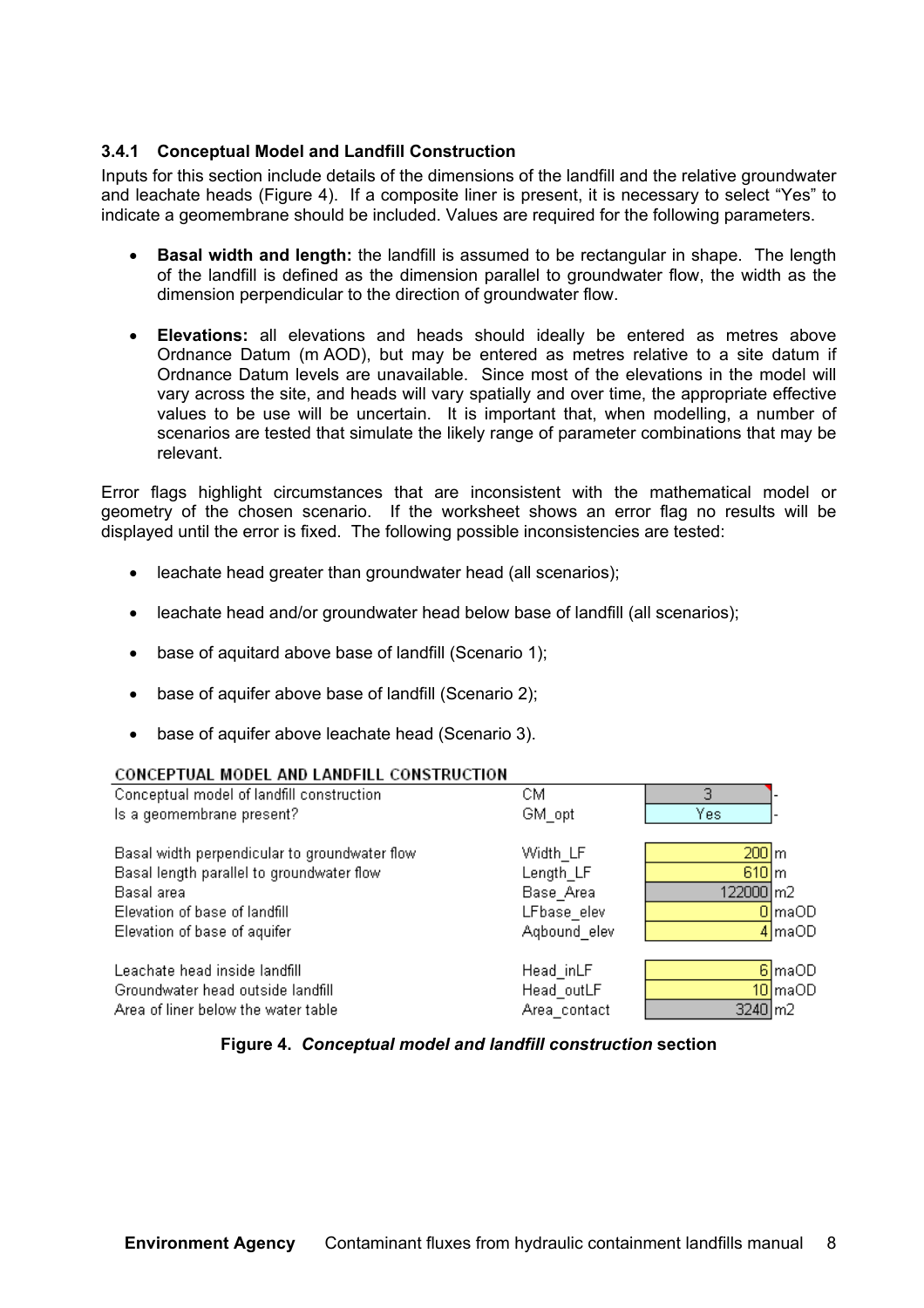#### **3.4.1 Conceptual Model and Landfill Construction**

Inputs for this section include details of the dimensions of the landfill and the relative groundwater and leachate heads (Figure 4). If a composite liner is present, it is necessary to select "Yes" to indicate a geomembrane should be included. Values are required for the following parameters.

- **Basal width and length:** the landfill is assumed to be rectangular in shape. The length of the landfill is defined as the dimension parallel to groundwater flow, the width as the dimension perpendicular to the direction of groundwater flow.
- **Elevations:** all elevations and heads should ideally be entered as metres above Ordnance Datum (m AOD), but may be entered as metres relative to a site datum if Ordnance Datum levels are unavailable. Since most of the elevations in the model will vary across the site, and heads will vary spatially and over time, the appropriate effective values to be use will be uncertain. It is important that, when modelling, a number of scenarios are tested that simulate the likely range of parameter combinations that may be relevant.

Error flags highlight circumstances that are inconsistent with the mathematical model or geometry of the chosen scenario. If the worksheet shows an error flag no results will be displayed until the error is fixed. The following possible inconsistencies are tested:

- leachate head greater than groundwater head (all scenarios);
- leachate head and/or groundwater head below base of landfill (all scenarios);
- base of aquitard above base of landfill (Scenario 1);
- base of aquifer above base of landfill (Scenario 2);
- base of aquifer above leachate head (Scenario 3).

#### CONCEPTUAL MODEL AND LANDELLI CONSTRUCTION

| Conceptual model of landfill construction     | CМ           | 3                   |                      |
|-----------------------------------------------|--------------|---------------------|----------------------|
| Is a geomembrane present?                     | GM opt       | Yes.                |                      |
| Basal width perpendicular to groundwater flow | Width LF     | $200 \, \mathrm{m}$ |                      |
| Basal length parallel to groundwater flow     | Length_LF    | $610 \, \mathrm{m}$ |                      |
| Basal area                                    | Base Area    | 122000 m2           |                      |
| Elevation of base of landfill                 | LFbase elev  |                     | $0 \mid maOD$        |
| Elevation of base of aquifer                  | Agbound elev |                     | $4 \mid$ maOD        |
|                                               |              |                     |                      |
| Leachate head inside landfill                 | Head inLF    |                     | 6 maOD               |
| Groundwater head outside landfill             | Head outLF   |                     | $10$ <sub>maOD</sub> |
| Area of liner below the water table           | Area_contact | $3240 \, \text{m}$  |                      |
|                                               |              |                     |                      |

#### **Figure 4.** *Conceptual model and landfill construction* **section**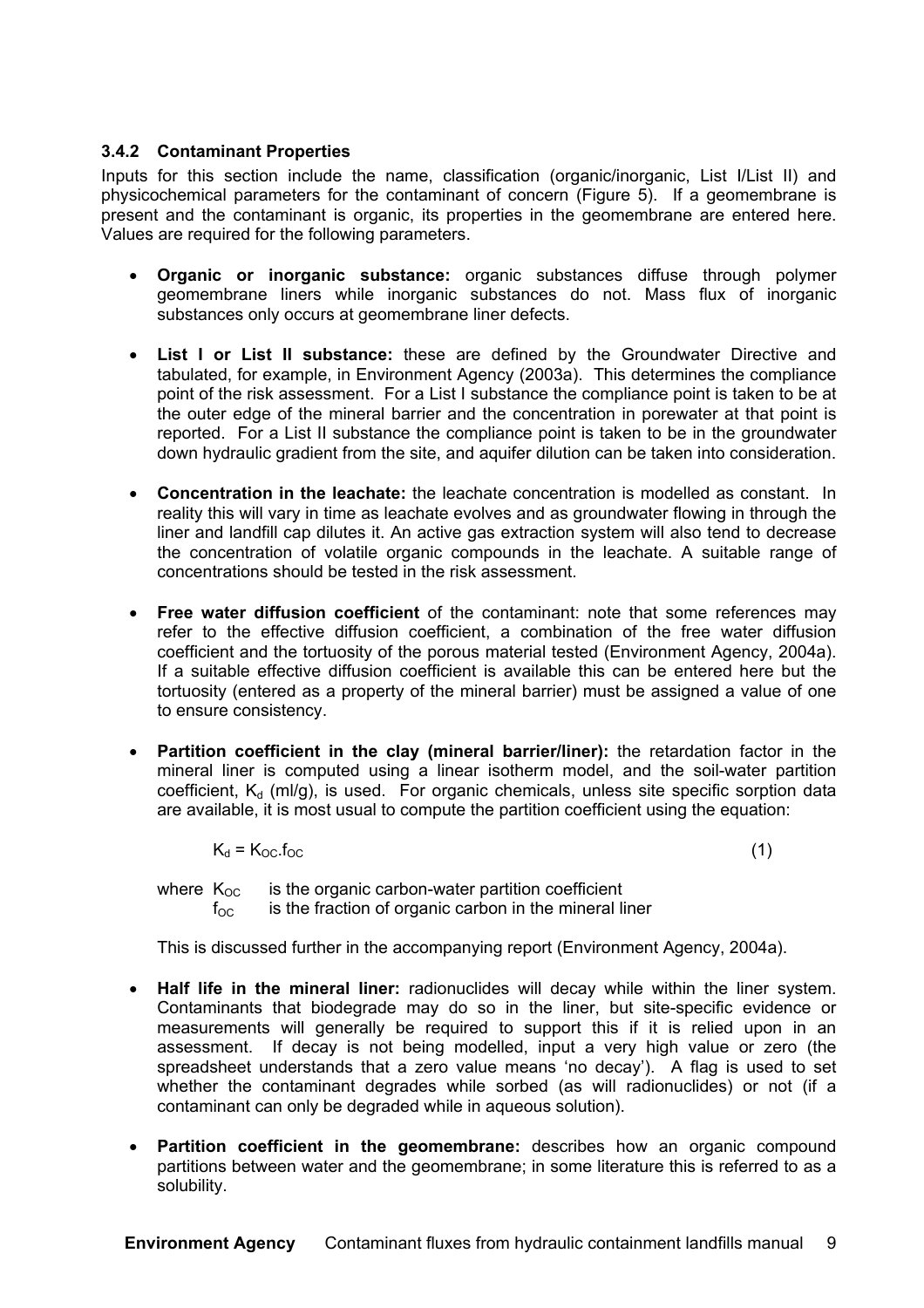#### **3.4.2 Contaminant Properties**

Inputs for this section include the name, classification (organic/inorganic, List I/List II) and physicochemical parameters for the contaminant of concern (Figure 5). If a geomembrane is present and the contaminant is organic, its properties in the geomembrane are entered here. Values are required for the following parameters.

- **Organic or inorganic substance:** organic substances diffuse through polymer geomembrane liners while inorganic substances do not. Mass flux of inorganic substances only occurs at geomembrane liner defects.
- **List I or List II substance:** these are defined by the Groundwater Directive and tabulated, for example, in Environment Agency (2003a). This determines the compliance point of the risk assessment. For a List I substance the compliance point is taken to be at the outer edge of the mineral barrier and the concentration in porewater at that point is reported. For a List II substance the compliance point is taken to be in the groundwater down hydraulic gradient from the site, and aquifer dilution can be taken into consideration.
- **Concentration in the leachate:** the leachate concentration is modelled as constant. In reality this will vary in time as leachate evolves and as groundwater flowing in through the liner and landfill cap dilutes it. An active gas extraction system will also tend to decrease the concentration of volatile organic compounds in the leachate. A suitable range of concentrations should be tested in the risk assessment.
- **Free water diffusion coefficient** of the contaminant: note that some references may refer to the effective diffusion coefficient, a combination of the free water diffusion coefficient and the tortuosity of the porous material tested (Environment Agency, 2004a). If a suitable effective diffusion coefficient is available this can be entered here but the tortuosity (entered as a property of the mineral barrier) must be assigned a value of one to ensure consistency.
- **Partition coefficient in the clay (mineral barrier/liner):** the retardation factor in the mineral liner is computed using a linear isotherm model, and the soil-water partition coefficient,  $K_d$  (ml/g), is used. For organic chemicals, unless site specific sorption data are available, it is most usual to compute the partition coefficient using the equation:

$$
K_d = K_{OC} f_{OC}
$$
 (1)

where  $K_{OC}$  is the organic carbon-water partition coefficient  $f_{\rm OC}$  is the fraction of organic carbon in the mineral liner

This is discussed further in the accompanying report (Environment Agency, 2004a).

- **Half life in the mineral liner:** radionuclides will decay while within the liner system. Contaminants that biodegrade may do so in the liner, but site-specific evidence or measurements will generally be required to support this if it is relied upon in an assessment. If decay is not being modelled, input a very high value or zero (the spreadsheet understands that a zero value means 'no decay'). A flag is used to set whether the contaminant degrades while sorbed (as will radionuclides) or not (if a contaminant can only be degraded while in aqueous solution).
- **Partition coefficient in the geomembrane:** describes how an organic compound partitions between water and the geomembrane; in some literature this is referred to as a solubility.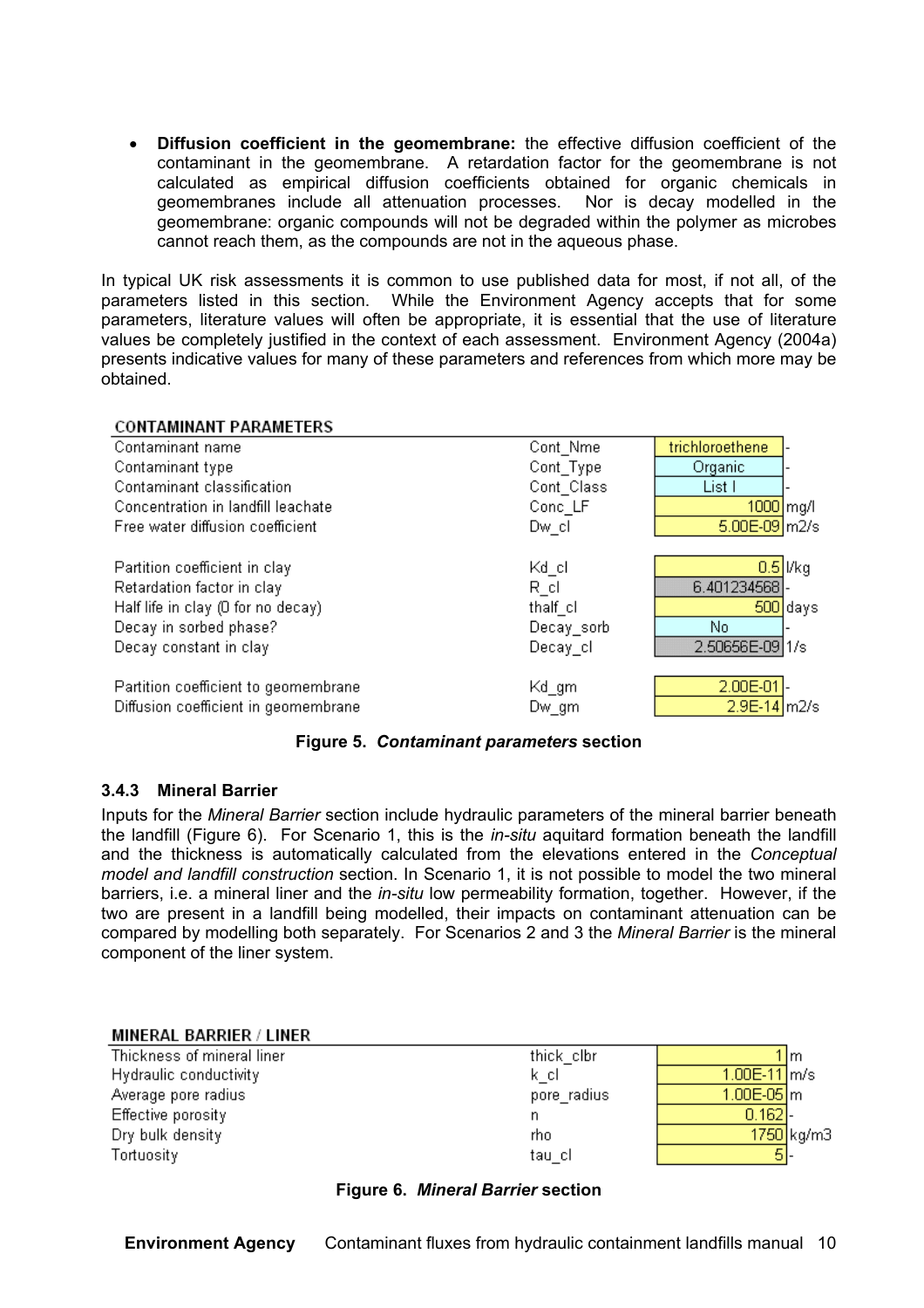• **Diffusion coefficient in the geomembrane:** the effective diffusion coefficient of the contaminant in the geomembrane. A retardation factor for the geomembrane is not calculated as empirical diffusion coefficients obtained for organic chemicals in geomembranes include all attenuation processes. Nor is decay modelled in the geomembrane: organic compounds will not be degraded within the polymer as microbes cannot reach them, as the compounds are not in the aqueous phase.

In typical UK risk assessments it is common to use published data for most, if not all, of the parameters listed in this section. While the Environment Agency accepts that for some parameters, literature values will often be appropriate, it is essential that the use of literature values be completely justified in the context of each assessment. Environment Agency (2004a) presents indicative values for many of these parameters and references from which more may be obtained.

#### **CONTAMINANT PARAMETERS**

| Contaminant name                     | Cont Nme   | trichloroethene     |
|--------------------------------------|------------|---------------------|
| Contaminant type                     | Cont_Type  | Organic             |
| Contaminant classification           | Cont Class | List I              |
| Concentration in landfill leachate   | Conc_LF    | 1000 mg/l           |
| Free water diffusion coefficient     | Dw cl      | 5.00E-09 m2/s       |
|                                      |            |                     |
| Partition coefficient in clay        | Kd_cl      | $0.5$ $Vkg$         |
| Retardation factor in clay           | R cl       | 6.401234568         |
| Half life in clay (0 for no decay)   | thalf cl   | $500$ days          |
| Decay in sorbed phase?               | Decay_sorb | No.                 |
| Decay constant in clay               | Decay_cl   | 2.50656E-09 1/s     |
|                                      |            |                     |
| Partition coefficient to geomembrane | Kd_gm      | 2.00E-01            |
| Diffusion coefficient in geomembrane | Dw gm      | $2.9E-14 \mid m2/s$ |

#### **Figure 5.** *Contaminant parameters* **section**

#### **3.4.3 Mineral Barrier**

Inputs for the *Mineral Barrier* section include hydraulic parameters of the mineral barrier beneath the landfill (Figure 6). For Scenario 1, this is the *in-situ* aquitard formation beneath the landfill and the thickness is automatically calculated from the elevations entered in the *Conceptual model and landfill construction* section. In Scenario 1, it is not possible to model the two mineral barriers, i.e. a mineral liner and the *in-situ* low permeability formation, together. However, if the two are present in a landfill being modelled, their impacts on contaminant attenuation can be compared by modelling both separately. For Scenarios 2 and 3 the *Mineral Barrier* is the mineral component of the liner system.

#### **MINERAL BARRIER / LINER**

Thickness of mineral liner Hydraulic conductivity Average pore radius Effective porosity Dry bulk density Tortuosity

#### thick clbr k cl pore\_radius n. rho tau cl

|                | 1 lm       |
|----------------|------------|
| $1.00E-11$ m/s |            |
| $1.00E-05$ m   |            |
| 0.162          |            |
|                | 1750 kg/m3 |
|                |            |

#### **Figure 6.** *Mineral Barrier* **section**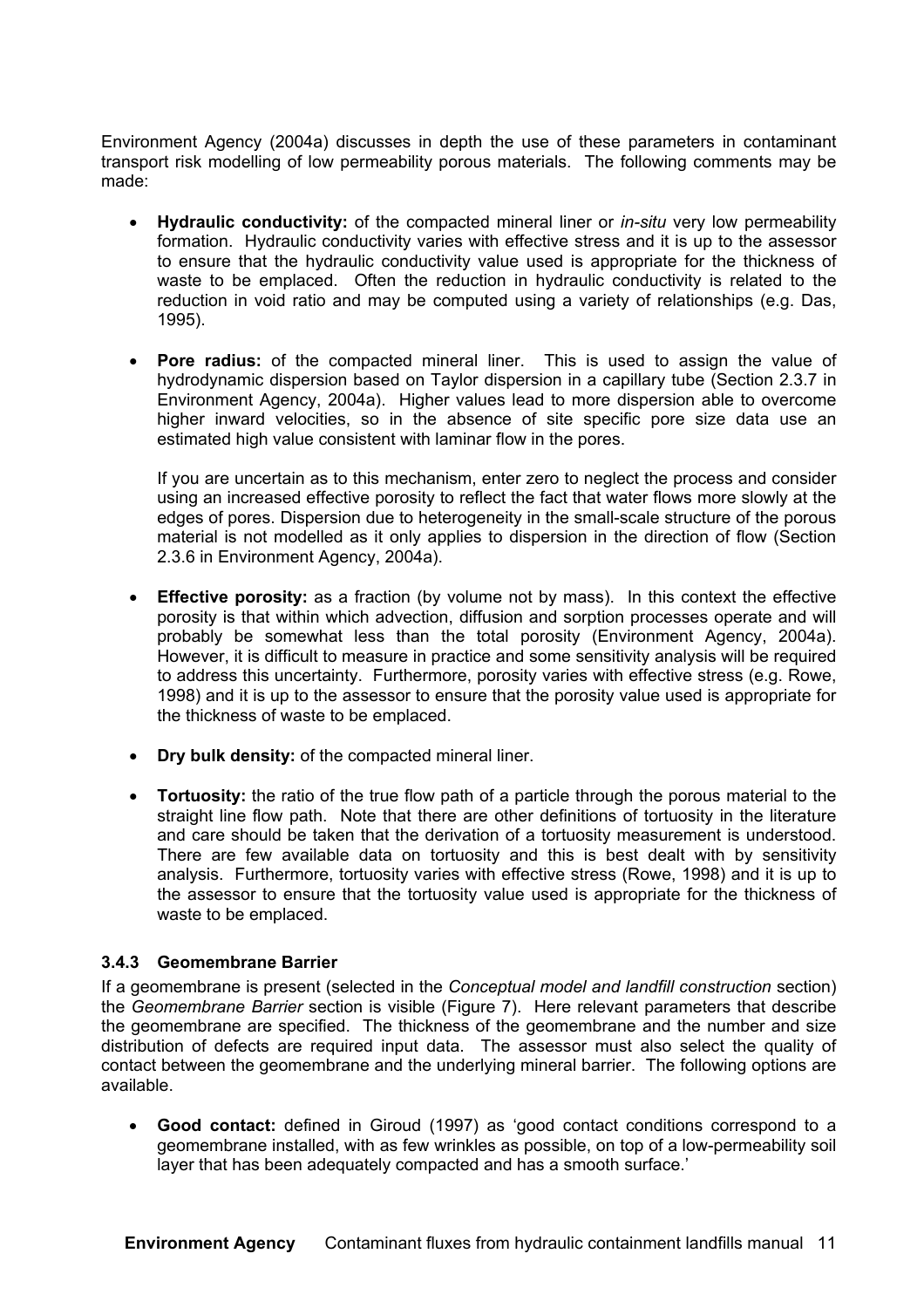Environment Agency (2004a) discusses in depth the use of these parameters in contaminant transport risk modelling of low permeability porous materials. The following comments may be made:

- **Hydraulic conductivity:** of the compacted mineral liner or *in-situ* very low permeability formation. Hydraulic conductivity varies with effective stress and it is up to the assessor to ensure that the hydraulic conductivity value used is appropriate for the thickness of waste to be emplaced. Often the reduction in hydraulic conductivity is related to the reduction in void ratio and may be computed using a variety of relationships (e.g. Das, 1995).
- **Pore radius:** of the compacted mineral liner. This is used to assign the value of hydrodynamic dispersion based on Taylor dispersion in a capillary tube (Section 2.3.7 in Environment Agency, 2004a). Higher values lead to more dispersion able to overcome higher inward velocities, so in the absence of site specific pore size data use an estimated high value consistent with laminar flow in the pores.

If you are uncertain as to this mechanism, enter zero to neglect the process and consider using an increased effective porosity to reflect the fact that water flows more slowly at the edges of pores. Dispersion due to heterogeneity in the small-scale structure of the porous material is not modelled as it only applies to dispersion in the direction of flow (Section 2.3.6 in Environment Agency, 2004a).

- **Effective porosity:** as a fraction (by volume not by mass). In this context the effective porosity is that within which advection, diffusion and sorption processes operate and will probably be somewhat less than the total porosity (Environment Agency, 2004a). However, it is difficult to measure in practice and some sensitivity analysis will be required to address this uncertainty. Furthermore, porosity varies with effective stress (e.g. Rowe, 1998) and it is up to the assessor to ensure that the porosity value used is appropriate for the thickness of waste to be emplaced.
- **Dry bulk density:** of the compacted mineral liner.
- **Tortuosity:** the ratio of the true flow path of a particle through the porous material to the straight line flow path. Note that there are other definitions of tortuosity in the literature and care should be taken that the derivation of a tortuosity measurement is understood. There are few available data on tortuosity and this is best dealt with by sensitivity analysis. Furthermore, tortuosity varies with effective stress (Rowe, 1998) and it is up to the assessor to ensure that the tortuosity value used is appropriate for the thickness of waste to be emplaced.

#### **3.4.3 Geomembrane Barrier**

If a geomembrane is present (selected in the *Conceptual model and landfill construction* section) the *Geomembrane Barrier* section is visible (Figure 7). Here relevant parameters that describe the geomembrane are specified. The thickness of the geomembrane and the number and size distribution of defects are required input data. The assessor must also select the quality of contact between the geomembrane and the underlying mineral barrier. The following options are available.

• **Good contact:** defined in Giroud (1997) as 'good contact conditions correspond to a geomembrane installed, with as few wrinkles as possible, on top of a low-permeability soil layer that has been adequately compacted and has a smooth surface.'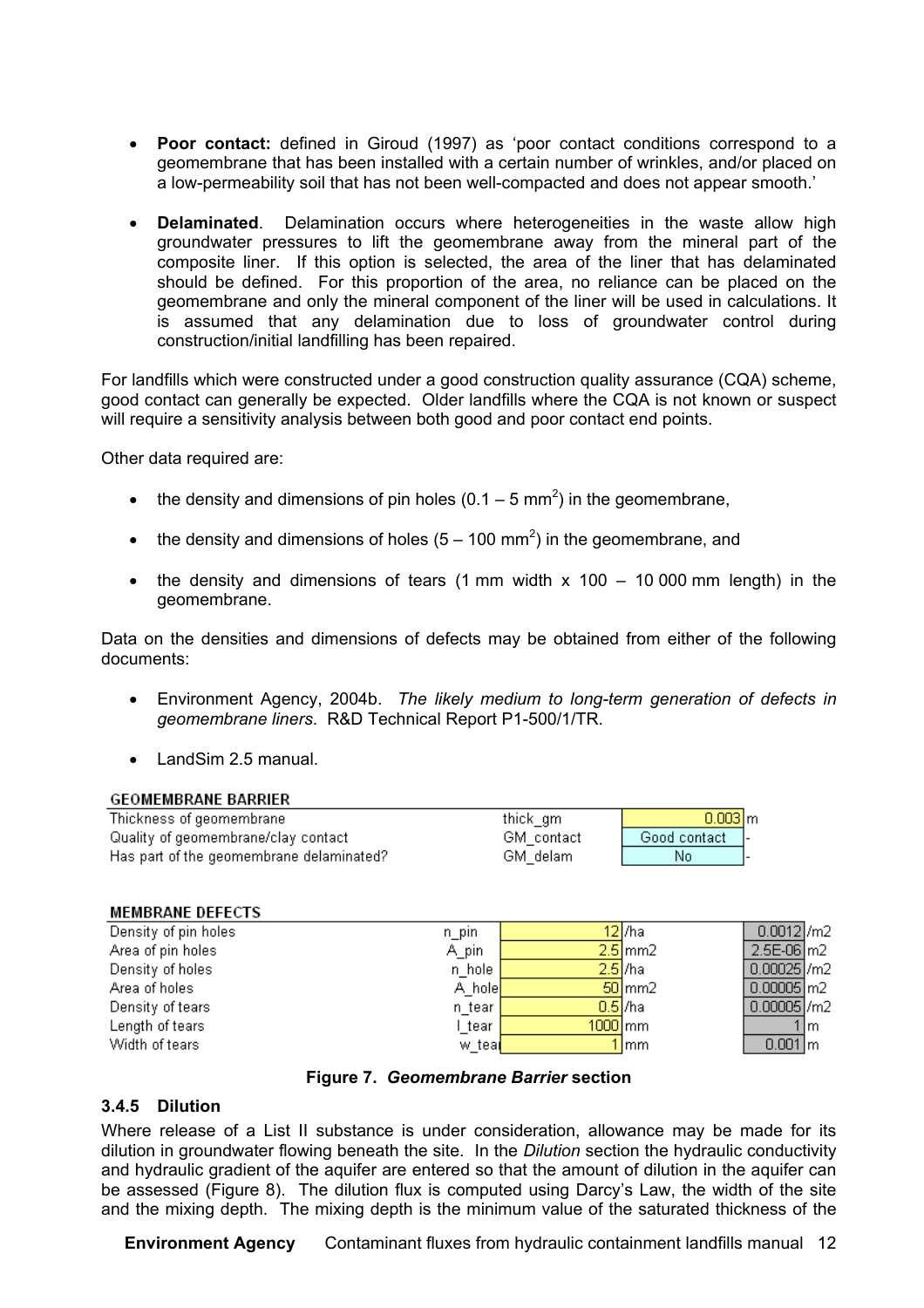- **Poor contact:** defined in Giroud (1997) as 'poor contact conditions correspond to a geomembrane that has been installed with a certain number of wrinkles, and/or placed on a low-permeability soil that has not been well-compacted and does not appear smooth.'
- **Delaminated**. Delamination occurs where heterogeneities in the waste allow high groundwater pressures to lift the geomembrane away from the mineral part of the composite liner. If this option is selected, the area of the liner that has delaminated should be defined. For this proportion of the area, no reliance can be placed on the geomembrane and only the mineral component of the liner will be used in calculations. It is assumed that any delamination due to loss of groundwater control during construction/initial landfilling has been repaired.

For landfills which were constructed under a good construction quality assurance (CQA) scheme, good contact can generally be expected. Older landfills where the CQA is not known or suspect will require a sensitivity analysis between both good and poor contact end points.

Other data required are:

- the density and dimensions of pin holes  $(0.1 5 \text{ mm}^2)$  in the geomembrane,
- the density and dimensions of holes  $(5 100 \text{ mm}^2)$  in the geomembrane, and
- the density and dimensions of tears (1 mm width  $x$  100 10 000 mm length) in the geomembrane.

Data on the densities and dimensions of defects may be obtained from either of the following documents:

- Environment Agency, 2004b. *The likely medium to long-term generation of defects in geomembrane liners*. R&D Technical Report P1-500/1/TR.
- LandSim 2.5 manual.

#### **GEOMEMBRANE BARRIER**

| Thickness of geomembrane                 | thick gm   | $0.003$ m    |  |
|------------------------------------------|------------|--------------|--|
| Quality of geomembrane/clay contact      | GM contact | Good contact |  |
| Has part of the geomembrane delaminated? | GM delam   | No           |  |

#### **MEMBRANE DEFECTS**

| Density of pin holes | n pin                |           | 12/ha        | $0.0012$ /m2            |      |
|----------------------|----------------------|-----------|--------------|-------------------------|------|
| Area of pin holes    | A_pin                |           | $2.5$ mm $2$ | $2.5E-06 \, \text{m}$   |      |
| Density of holes     | n hole               | $2.5$ /ha |              | $0.00025$ /m2           |      |
| Area of holes        | A hole               |           | $50$ mm $2$  | $0.00005 \, \mathrm{m}$ |      |
| Density of tears     | n tear               | $0.5$ /ha |              | $0.00005$ /m2           |      |
| Length of tears      | tear                 | $1000$ mm |              |                         | 1 Im |
| Width of tears       | w_tea <mark>(</mark> |           | Imm          | $0.001 \, \rm{m}$       |      |

#### **Figure 7.** *Geomembrane Barrier* **section**

#### **3.4.5 Dilution**

Where release of a List II substance is under consideration, allowance may be made for its dilution in groundwater flowing beneath the site. In the *Dilution* section the hydraulic conductivity and hydraulic gradient of the aquifer are entered so that the amount of dilution in the aquifer can be assessed (Figure 8). The dilution flux is computed using Darcy's Law, the width of the site and the mixing depth. The mixing depth is the minimum value of the saturated thickness of the

**Environment Agency** Contaminant fluxes from hydraulic containment landfills manual 12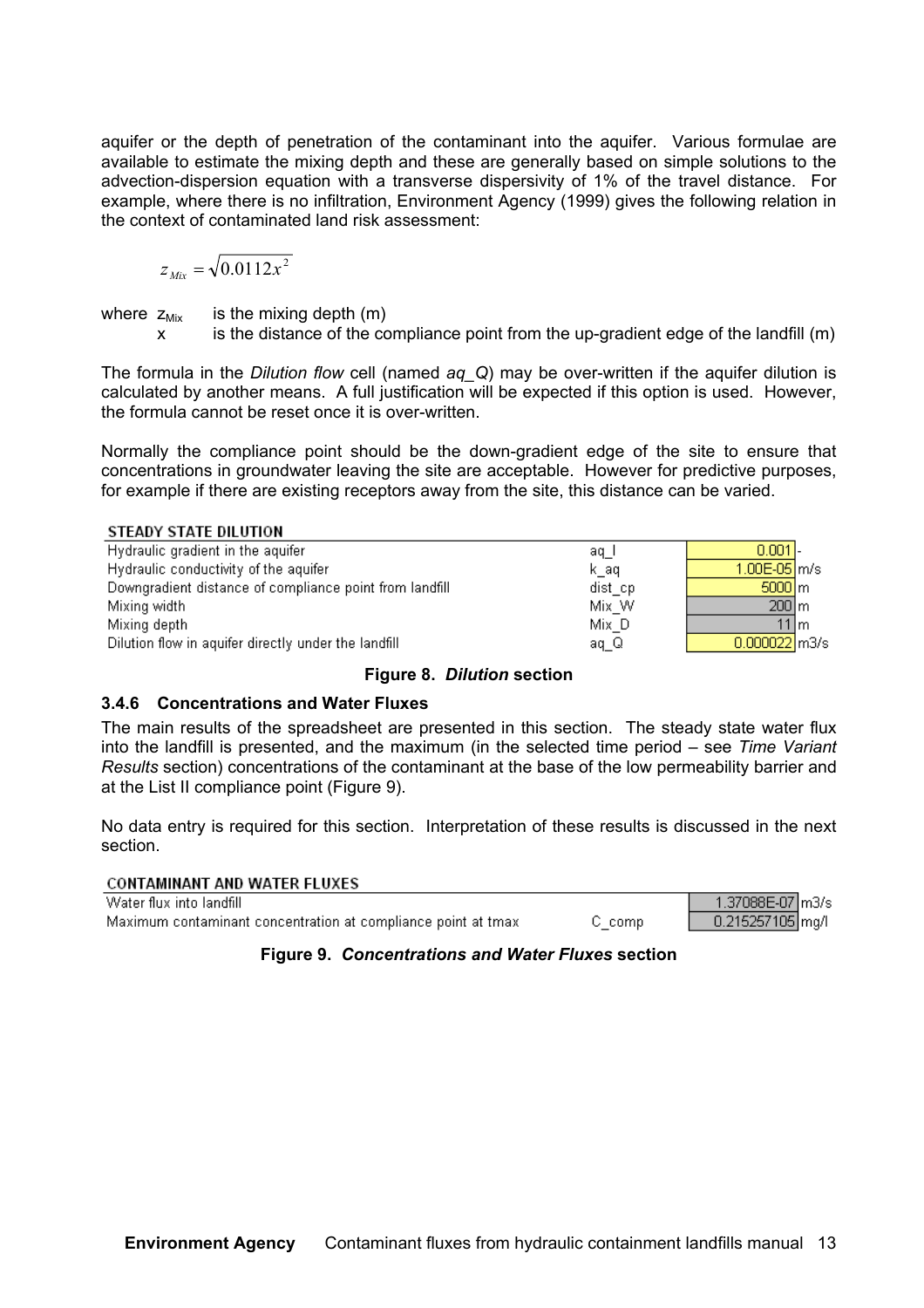aquifer or the depth of penetration of the contaminant into the aquifer. Various formulae are available to estimate the mixing depth and these are generally based on simple solutions to the advection-dispersion equation with a transverse dispersivity of 1% of the travel distance. For example, where there is no infiltration, Environment Agency (1999) gives the following relation in the context of contaminated land risk assessment:

$$
z_{\text{Mix}} = \sqrt{0.0112x^2}
$$

where  $z_{Mix}$  is the mixing depth  $(m)$ 

x is the distance of the compliance point from the up-gradient edge of the landfill (m)

The formula in the *Dilution flow* cell (named *aq\_Q*) may be over-written if the aquifer dilution is calculated by another means. A full justification will be expected if this option is used. However, the formula cannot be reset once it is over-written.

Normally the compliance point should be the down-gradient edge of the site to ensure that concentrations in groundwater leaving the site are acceptable. However for predictive purposes, for example if there are existing receptors away from the site, this distance can be varied.

#### STEADY STATE BILLITION

| Hydraulic gradient in the aquifer                       | aq I    | 0.0011-                 |  |
|---------------------------------------------------------|---------|-------------------------|--|
| Hydraulic conductivity of the aquifer                   | k aq    | $1.00E-05 \, \rm{fm/s}$ |  |
| Downgradient distance of compliance point from landfill | dist_cp | $5000 \, \mathrm{m}$    |  |
| Mixing width                                            | Mix W   | $200 \, \mathrm{m}$     |  |
| Mixing depth                                            | Mix D   | 11 m                    |  |
| Dilution flow in aquifer directly under the landfill    | aq Q    | $0.000022$ m3/s         |  |

#### **Figure 8.** *Dilution* **section**

#### **3.4.6 Concentrations and Water Fluxes**

The main results of the spreadsheet are presented in this section. The steady state water flux into the landfill is presented, and the maximum (in the selected time period – see *Time Variant Results* section) concentrations of the contaminant at the base of the low permeability barrier and at the List II compliance point (Figure 9).

No data entry is required for this section. Interpretation of these results is discussed in the next section.

#### **CONTAMINANT AND WATER FLUXES**

Water flux into landfill Maximum contaminant concentration at compliance point at tmax

C comp

1.37088E-07 m3/s 0.215257105 mg/l

#### **Figure 9.** *Concentrations and Water Fluxes* **section**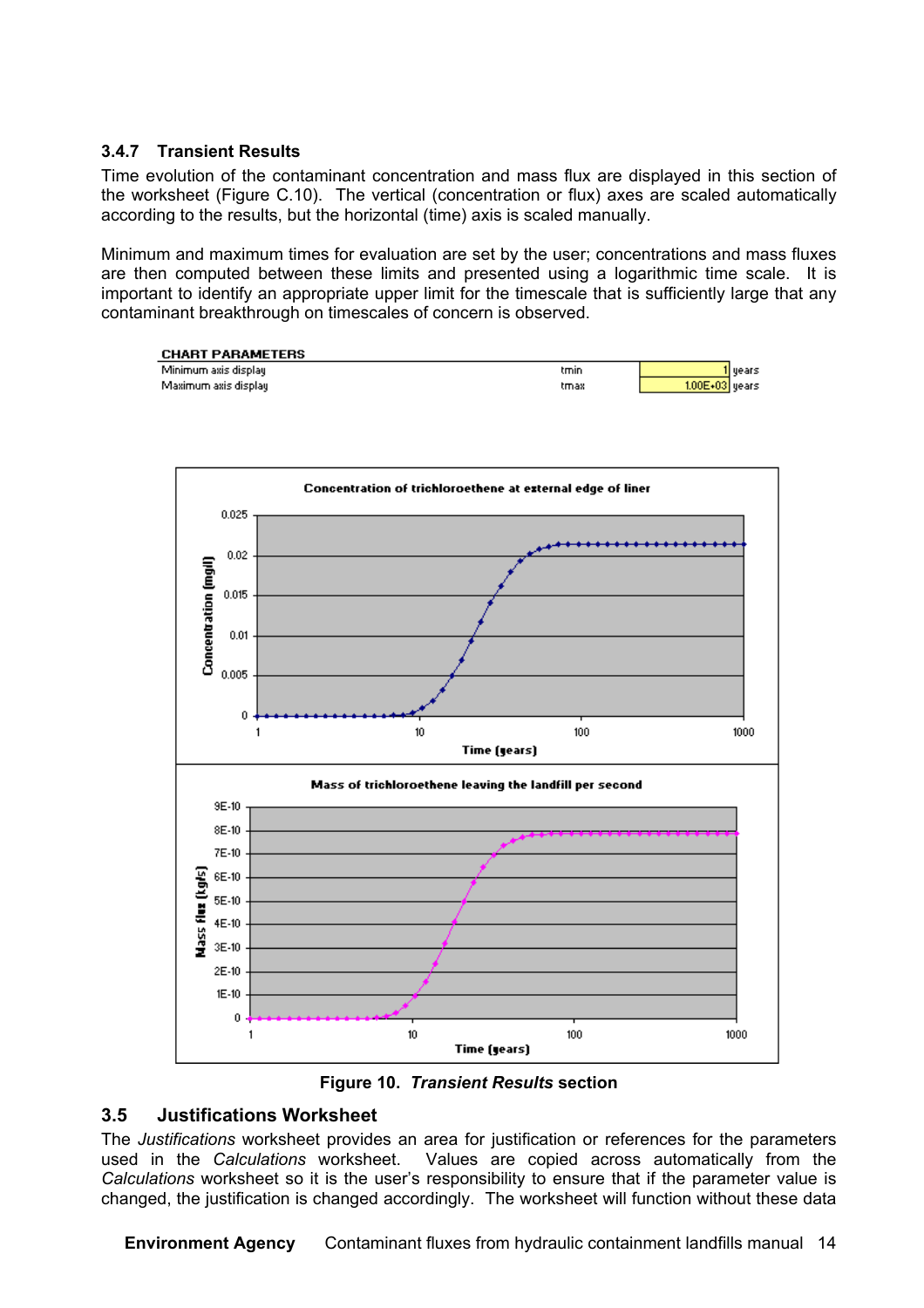#### **3.4.7 Transient Results**

Time evolution of the contaminant concentration and mass flux are displayed in this section of the worksheet (Figure C.10). The vertical (concentration or flux) axes are scaled automatically according to the results, but the horizontal (time) axis is scaled manually.

Minimum and maximum times for evaluation are set by the user; concentrations and mass fluxes are then computed between these limits and presented using a logarithmic time scale. It is important to identify an appropriate upper limit for the timescale that is sufficiently large that any contaminant breakthrough on timescales of concern is observed.







#### **3.5 Justifications Worksheet**

The *Justifications* worksheet provides an area for justification or references for the parameters used in the *Calculations* worksheet. Values are copied across automatically from the *Calculations* worksheet so it is the user's responsibility to ensure that if the parameter value is changed, the justification is changed accordingly. The worksheet will function without these data

**Environment Agency** Contaminant fluxes from hydraulic containment landfills manual 14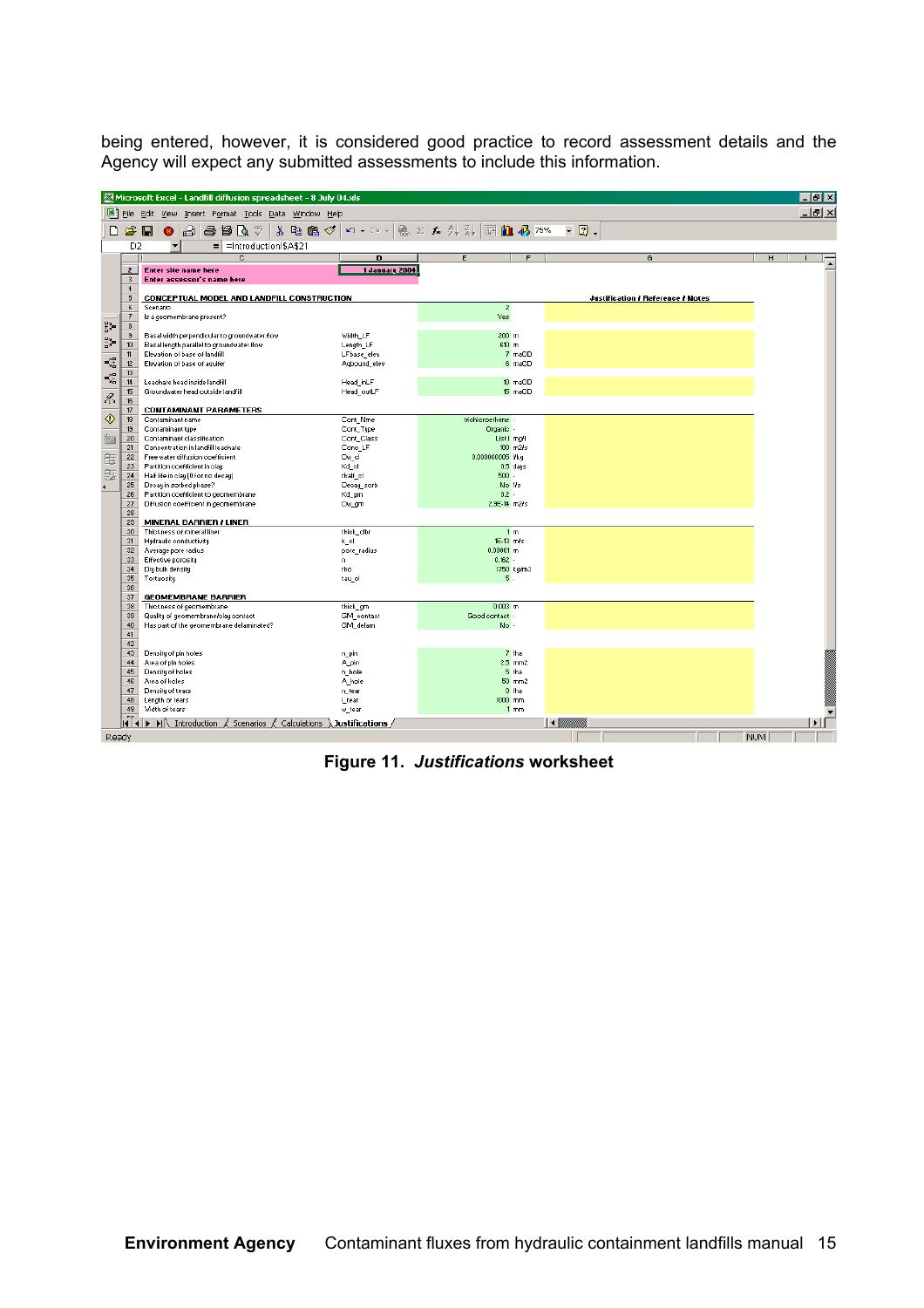being entered, however, it is considered good practice to record assessment details and the Agency will expect any submitted assessments to include this information.

|                                        |                              | Microsoft Excel - Landfill diffusion spreadsheet - 8 July 04.xls                                                                                                           |                                                                  |                         |                      |              |                                   |            |   | $\Box$ alxi    |  |
|----------------------------------------|------------------------------|----------------------------------------------------------------------------------------------------------------------------------------------------------------------------|------------------------------------------------------------------|-------------------------|----------------------|--------------|-----------------------------------|------------|---|----------------|--|
|                                        |                              | File Edit View Insert Format Tools Data Window Help                                                                                                                        |                                                                  |                         |                      |              |                                   |            |   | $-10$ $\times$ |  |
| D                                      | $\hat{\mathbf{r}}$           | $\blacksquare$<br>督区》<br>X.<br>电追ぐ<br>€<br>6                                                                                                                               | $\mathbf{K}$ $\mathbf{V}$ $\mathbf{V}$ $\mathbf{V}$ $\mathbf{V}$ |                         |                      | Ø<br>$\star$ |                                   |            |   |                |  |
|                                        | D <sub>2</sub>               | $\overline{\phantom{a}}$<br>$=$ = Introduction!\$A\$21                                                                                                                     |                                                                  |                         |                      |              |                                   |            |   |                |  |
|                                        |                              | $\overline{c}$                                                                                                                                                             | D                                                                | E                       | F                    |              | G                                 |            | н |                |  |
|                                        | $\overline{2}$               | <b>Enter site name here</b>                                                                                                                                                | 1 January 2004                                                   |                         |                      |              |                                   |            |   | Ē              |  |
|                                        | 3                            | Enter assessor's name here                                                                                                                                                 |                                                                  |                         |                      |              |                                   |            |   |                |  |
|                                        | $\overline{4}$               |                                                                                                                                                                            |                                                                  |                         |                      |              |                                   |            |   |                |  |
|                                        | 5                            | CONCEPTUAL MODEL AND LANDFILL CONSTRUCTION                                                                                                                                 |                                                                  |                         |                      |              | Justification / Reference / Notes |            |   |                |  |
|                                        | $\epsilon$<br>$\overline{7}$ | Scenario<br>Is a geomembrane present?                                                                                                                                      |                                                                  | $\overline{2}$<br>Yes   |                      |              |                                   |            |   |                |  |
| 뛄                                      | $\boldsymbol{8}$             |                                                                                                                                                                            |                                                                  |                         |                      |              |                                   |            |   |                |  |
|                                        | $\mathbf{S}$                 | Basal width perpendicular to groundwater flow                                                                                                                              | Width_LF                                                         | $200$ m                 |                      |              |                                   |            |   |                |  |
| $\frac{\alpha}{\alpha}$                | 10 <sup>10</sup>             | Basal length parallel to groundwater flow                                                                                                                                  | Length_LF                                                        | 610 m                   |                      |              |                                   |            |   |                |  |
|                                        | 11                           | Elevation of base of landfill                                                                                                                                              | LFbase_elev                                                      |                         | 7 maOD               |              |                                   |            |   |                |  |
| $\mathbf{L}^{\text{eff}}_{\text{eff}}$ | 12<br>13                     | Elevation of base of aquifer                                                                                                                                               | Agbound elev                                                     |                         | 6 maOD               |              |                                   |            |   |                |  |
| Ç,                                     | 14                           | Leachate head inside landfill                                                                                                                                              | Head_inLF                                                        |                         | 10 maOD              |              |                                   |            |   |                |  |
|                                        | 15                           | Groundwater head outside landfill                                                                                                                                          | Head_outLF                                                       |                         | 15 maOD              |              |                                   |            |   |                |  |
| $\mathcal{A}$                          | 16                           |                                                                                                                                                                            |                                                                  |                         |                      |              |                                   |            |   |                |  |
|                                        | 17                           | <b>CONTAMINANT PARAMETERS</b>                                                                                                                                              |                                                                  |                         |                      |              |                                   |            |   |                |  |
| ◈                                      | 18                           | Contaminant name                                                                                                                                                           | Cont Nme                                                         | trichloroethene -       |                      |              |                                   |            |   |                |  |
|                                        | 19<br>20                     | Contaminant type<br>Contaminant classification                                                                                                                             | Cont_Type                                                        | Organic -<br>List1 mall |                      |              |                                   |            |   |                |  |
| 幽                                      | 21                           | Concentration in landfill leachate                                                                                                                                         | Cont Class<br>Conc LF                                            |                         | $100$ m2 $\text{/s}$ |              |                                   |            |   |                |  |
| 雷                                      | 22                           | Free water diffusion coefficient                                                                                                                                           | Dw_ol                                                            | 0.000000005 l/kg        |                      |              |                                   |            |   |                |  |
|                                        | 23                           | Partition coefficient in clay                                                                                                                                              | Kd ol                                                            |                         | $0.5$ days           |              |                                   |            |   |                |  |
| 匯                                      | 24                           | Half life in clay (0 for no decay)                                                                                                                                         | thalf of                                                         | $500 -$                 |                      |              |                                   |            |   |                |  |
|                                        | 25                           | Decay in sorbed phase?                                                                                                                                                     | Decay sorb                                                       | No 1/s                  |                      |              |                                   |            |   |                |  |
|                                        | 26                           | Partition coefficient to geomembrane                                                                                                                                       | Kd_gm                                                            | $0.2 -$                 |                      |              |                                   |            |   |                |  |
|                                        | 27<br>28                     | Diffusion coefficient in geomembrane                                                                                                                                       | Dw_gm                                                            | 2.9E-14 m2/s            |                      |              |                                   |            |   |                |  |
|                                        | 29                           | <b>MINERAL BARRIER / LINER</b>                                                                                                                                             |                                                                  |                         |                      |              |                                   |            |   |                |  |
|                                        | 30                           | Thickness of mineral liner                                                                                                                                                 | thick_clbr                                                       |                         | 1 <sub>m</sub>       |              |                                   |            |   |                |  |
|                                        | 31                           | Hydraulic conductivity                                                                                                                                                     | k_ol                                                             | 1E-13 m/s               |                      |              |                                   |            |   |                |  |
|                                        | 32                           | Average pore radius                                                                                                                                                        | pore_radius                                                      | $0.00001$ m             |                      |              |                                   |            |   |                |  |
|                                        | 33                           | Effective porosity                                                                                                                                                         | n.                                                               | $0.162 -$               |                      |              |                                   |            |   |                |  |
|                                        | 34<br>35                     | Dry bulk density<br>Tortuosity                                                                                                                                             | rho<br>tau_ol                                                    | 5.                      | 1750 kg/m3           |              |                                   |            |   |                |  |
|                                        | 36                           |                                                                                                                                                                            |                                                                  |                         |                      |              |                                   |            |   |                |  |
|                                        | 37                           | <b>GEOMEMBRANE BARRIER</b>                                                                                                                                                 |                                                                  |                         |                      |              |                                   |            |   |                |  |
|                                        | 38                           | Thickness of geomembrane                                                                                                                                                   | thick_gm                                                         | $0.003$ <sub>m</sub>    |                      |              |                                   |            |   |                |  |
|                                        | 39                           | Quality of geomembrane/clay contact                                                                                                                                        | GM_contact                                                       | Good contact -          |                      |              |                                   |            |   |                |  |
|                                        | 40<br>41                     | Has part of the geomembrane delaminated?                                                                                                                                   | GM_delam                                                         | No -                    |                      |              |                                   |            |   |                |  |
|                                        | 42                           |                                                                                                                                                                            |                                                                  |                         |                      |              |                                   |            |   |                |  |
|                                        | 43                           | Density of pin holes                                                                                                                                                       | n_pin                                                            |                         | 7 tha                |              |                                   |            |   |                |  |
|                                        | 44                           | Area of pin holes                                                                                                                                                          | A_pin                                                            |                         | $2.5$ mm $2$         |              |                                   |            |   |                |  |
|                                        | 45                           | Density of holes                                                                                                                                                           | n_hole                                                           |                         | 5 tha                |              |                                   |            |   |                |  |
|                                        | 46                           | Area of holes                                                                                                                                                              | A_hole                                                           |                         | $50$ mm $2$          |              |                                   |            |   |                |  |
|                                        | 47                           | Density of tears                                                                                                                                                           | n_tear                                                           |                         | $0$ tha              |              |                                   |            |   |                |  |
|                                        | 48<br>49                     | Length of tears<br>Width of tears                                                                                                                                          | Ltear<br>w_tear                                                  | $1000$ mm               | 1 <sub>mm</sub>      |              |                                   |            |   |                |  |
|                                        |                              |                                                                                                                                                                            |                                                                  |                         |                      |              |                                   |            |   |                |  |
|                                        |                              | $\vert \vert \vert \vert \vert \vert$ $\vert \vert \vert \vert$ Introduction $\vert \vert$ Scenarios $\vert \vert$ Calculations $\vert \vert$ Justifications $\vert \vert$ |                                                                  |                         | $\vert \cdot \vert$  |              |                                   |            |   |                |  |
| Ready                                  |                              |                                                                                                                                                                            |                                                                  |                         |                      |              |                                   | <b>NUM</b> |   |                |  |

**Figure 11.** *Justifications* **worksheet**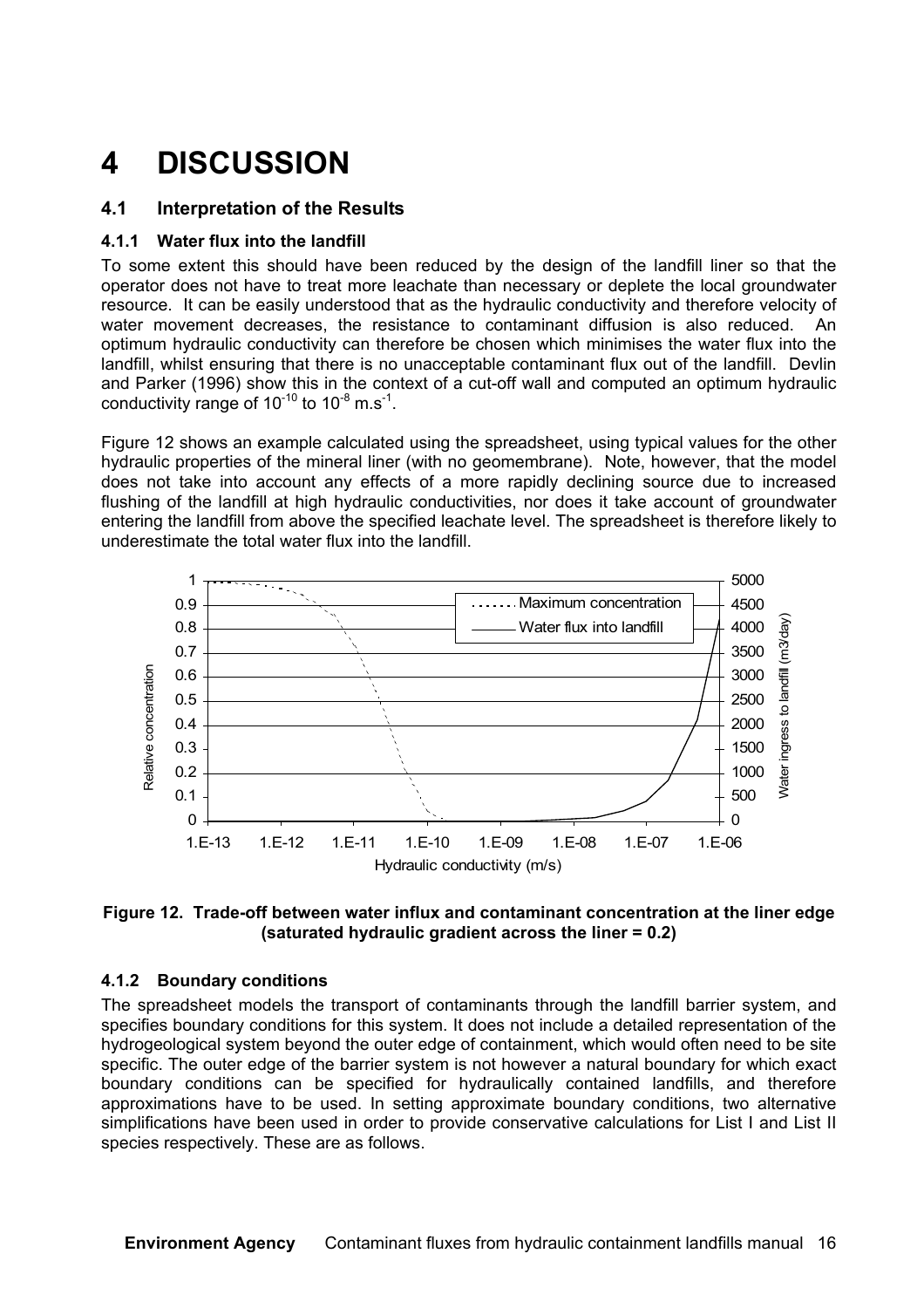### **4 DISCUSSION**

#### **4.1 Interpretation of the Results**

#### **4.1.1 Water flux into the landfill**

To some extent this should have been reduced by the design of the landfill liner so that the operator does not have to treat more leachate than necessary or deplete the local groundwater resource. It can be easily understood that as the hydraulic conductivity and therefore velocity of water movement decreases, the resistance to contaminant diffusion is also reduced. An optimum hydraulic conductivity can therefore be chosen which minimises the water flux into the landfill, whilst ensuring that there is no unacceptable contaminant flux out of the landfill. Devlin and Parker (1996) show this in the context of a cut-off wall and computed an optimum hydraulic conductivity range of  $10^{-10}$  to  $10^{-8}$  m.s<sup>-1</sup>.

Figure 12 shows an example calculated using the spreadsheet, using typical values for the other hydraulic properties of the mineral liner (with no geomembrane). Note, however, that the model does not take into account any effects of a more rapidly declining source due to increased flushing of the landfill at high hydraulic conductivities, nor does it take account of groundwater entering the landfill from above the specified leachate level. The spreadsheet is therefore likely to underestimate the total water flux into the landfill.





#### **4.1.2 Boundary conditions**

The spreadsheet models the transport of contaminants through the landfill barrier system, and specifies boundary conditions for this system. It does not include a detailed representation of the hydrogeological system beyond the outer edge of containment, which would often need to be site specific. The outer edge of the barrier system is not however a natural boundary for which exact boundary conditions can be specified for hydraulically contained landfills, and therefore approximations have to be used. In setting approximate boundary conditions, two alternative simplifications have been used in order to provide conservative calculations for List I and List II species respectively. These are as follows.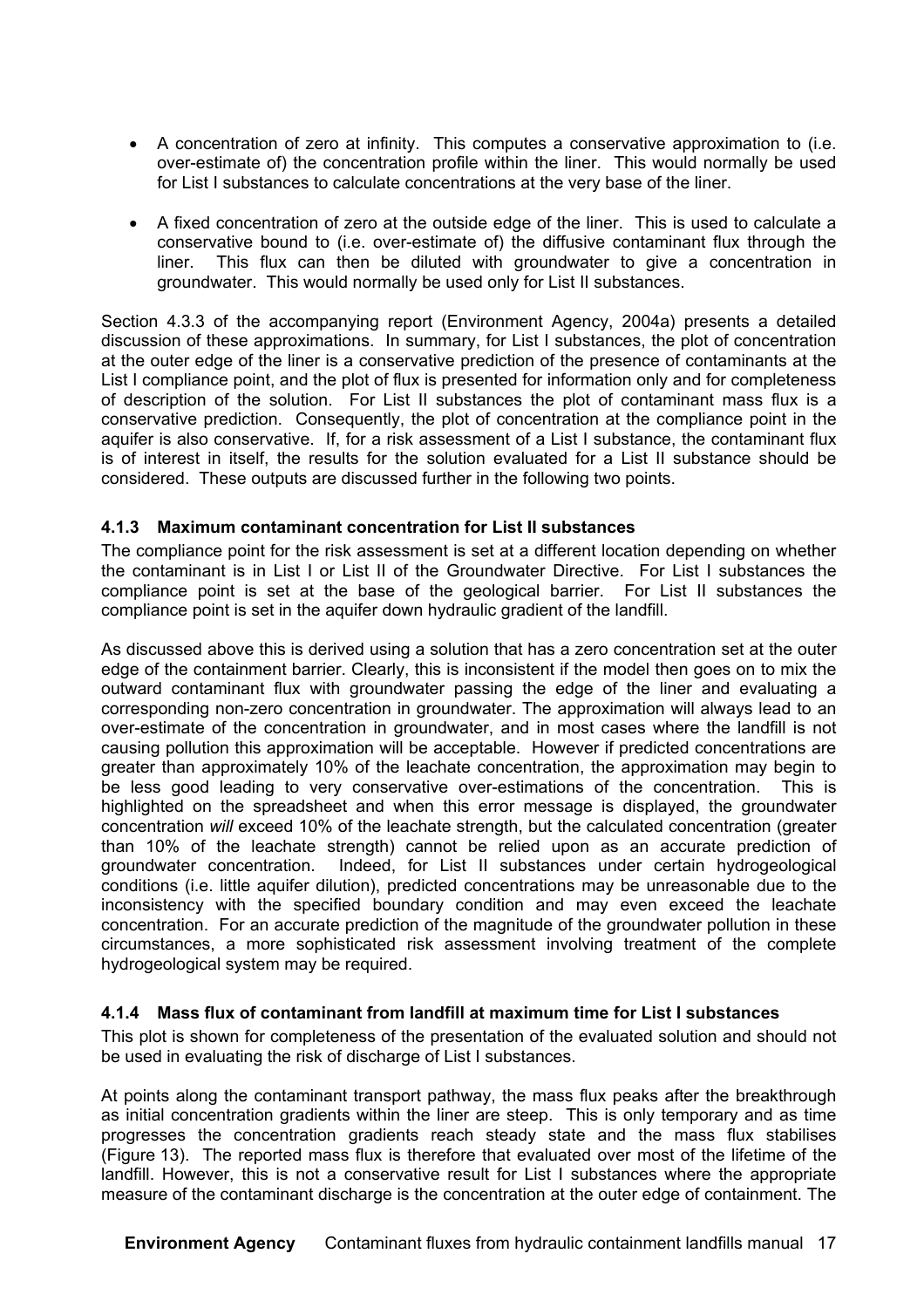- A concentration of zero at infinity. This computes a conservative approximation to (i.e. over-estimate of) the concentration profile within the liner. This would normally be used for List I substances to calculate concentrations at the very base of the liner.
- A fixed concentration of zero at the outside edge of the liner. This is used to calculate a conservative bound to (i.e. over-estimate of) the diffusive contaminant flux through the liner. This flux can then be diluted with groundwater to give a concentration in groundwater. This would normally be used only for List II substances.

Section 4.3.3 of the accompanying report (Environment Agency, 2004a) presents a detailed discussion of these approximations. In summary, for List I substances, the plot of concentration at the outer edge of the liner is a conservative prediction of the presence of contaminants at the List I compliance point, and the plot of flux is presented for information only and for completeness of description of the solution. For List II substances the plot of contaminant mass flux is a conservative prediction. Consequently, the plot of concentration at the compliance point in the aquifer is also conservative. If, for a risk assessment of a List I substance, the contaminant flux is of interest in itself, the results for the solution evaluated for a List II substance should be considered. These outputs are discussed further in the following two points.

#### **4.1.3 Maximum contaminant concentration for List II substances**

The compliance point for the risk assessment is set at a different location depending on whether the contaminant is in List I or List II of the Groundwater Directive. For List I substances the compliance point is set at the base of the geological barrier. For List II substances the compliance point is set in the aquifer down hydraulic gradient of the landfill.

As discussed above this is derived using a solution that has a zero concentration set at the outer edge of the containment barrier. Clearly, this is inconsistent if the model then goes on to mix the outward contaminant flux with groundwater passing the edge of the liner and evaluating a corresponding non-zero concentration in groundwater. The approximation will always lead to an over-estimate of the concentration in groundwater, and in most cases where the landfill is not causing pollution this approximation will be acceptable. However if predicted concentrations are greater than approximately 10% of the leachate concentration, the approximation may begin to be less good leading to very conservative over-estimations of the concentration. This is highlighted on the spreadsheet and when this error message is displayed, the groundwater concentration *will* exceed 10% of the leachate strength, but the calculated concentration (greater than 10% of the leachate strength) cannot be relied upon as an accurate prediction of groundwater concentration. Indeed, for List II substances under certain hydrogeological conditions (i.e. little aquifer dilution), predicted concentrations may be unreasonable due to the inconsistency with the specified boundary condition and may even exceed the leachate concentration. For an accurate prediction of the magnitude of the groundwater pollution in these circumstances, a more sophisticated risk assessment involving treatment of the complete hydrogeological system may be required.

#### **4.1.4 Mass flux of contaminant from landfill at maximum time for List I substances**

This plot is shown for completeness of the presentation of the evaluated solution and should not be used in evaluating the risk of discharge of List I substances.

At points along the contaminant transport pathway, the mass flux peaks after the breakthrough as initial concentration gradients within the liner are steep. This is only temporary and as time progresses the concentration gradients reach steady state and the mass flux stabilises (Figure 13). The reported mass flux is therefore that evaluated over most of the lifetime of the landfill. However, this is not a conservative result for List I substances where the appropriate measure of the contaminant discharge is the concentration at the outer edge of containment. The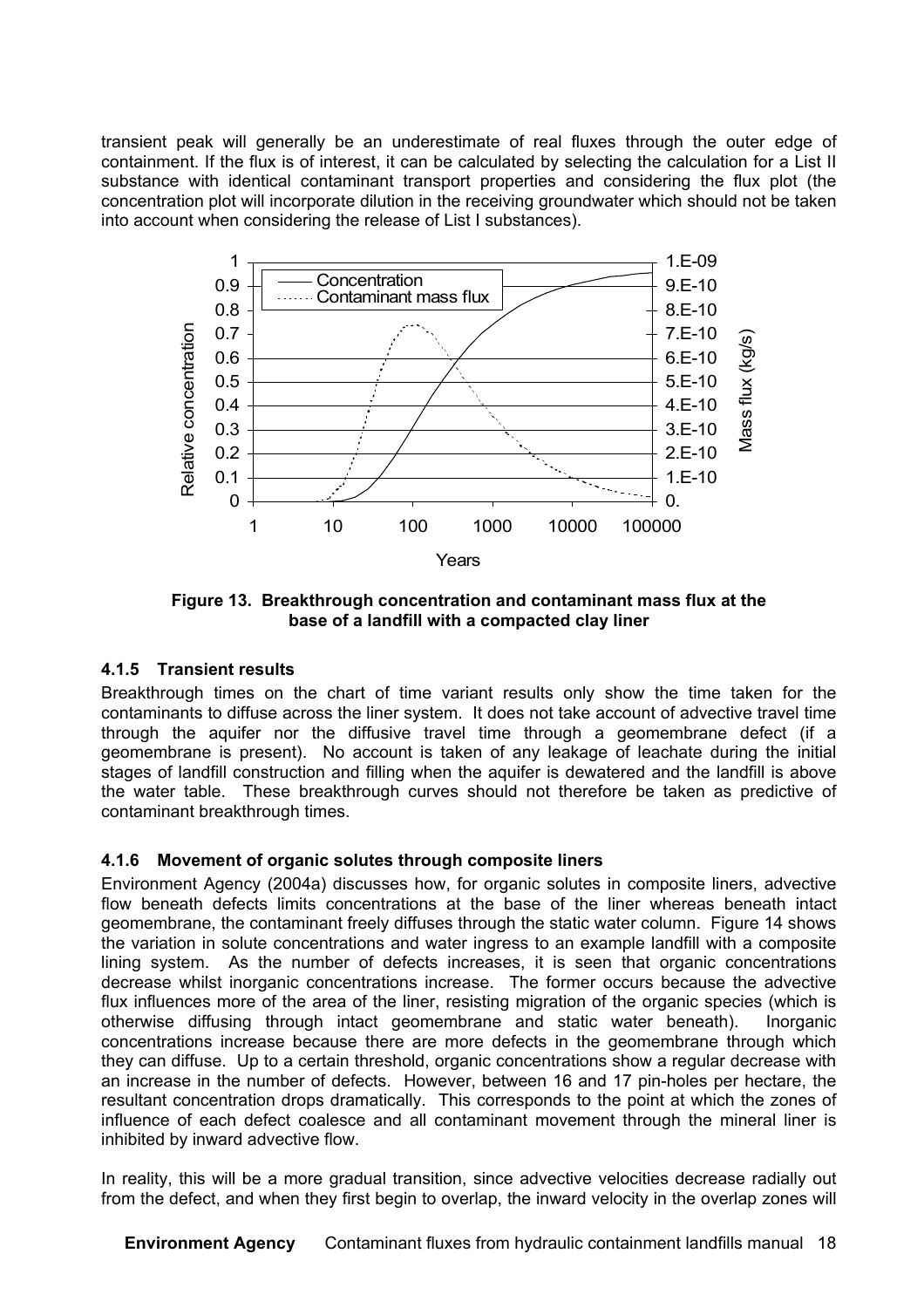transient peak will generally be an underestimate of real fluxes through the outer edge of containment. If the flux is of interest, it can be calculated by selecting the calculation for a List II substance with identical contaminant transport properties and considering the flux plot (the concentration plot will incorporate dilution in the receiving groundwater which should not be taken into account when considering the release of List I substances).



**Figure 13. Breakthrough concentration and contaminant mass flux at the base of a landfill with a compacted clay liner**

#### **4.1.5 Transient results**

Breakthrough times on the chart of time variant results only show the time taken for the contaminants to diffuse across the liner system. It does not take account of advective travel time through the aquifer nor the diffusive travel time through a geomembrane defect (if a geomembrane is present). No account is taken of any leakage of leachate during the initial stages of landfill construction and filling when the aquifer is dewatered and the landfill is above the water table. These breakthrough curves should not therefore be taken as predictive of contaminant breakthrough times.

#### **4.1.6 Movement of organic solutes through composite liners**

Environment Agency (2004a) discusses how, for organic solutes in composite liners, advective flow beneath defects limits concentrations at the base of the liner whereas beneath intact geomembrane, the contaminant freely diffuses through the static water column. Figure 14 shows the variation in solute concentrations and water ingress to an example landfill with a composite lining system. As the number of defects increases, it is seen that organic concentrations decrease whilst inorganic concentrations increase. The former occurs because the advective flux influences more of the area of the liner, resisting migration of the organic species (which is otherwise diffusing through intact geomembrane and static water beneath). Inorganic concentrations increase because there are more defects in the geomembrane through which they can diffuse. Up to a certain threshold, organic concentrations show a regular decrease with an increase in the number of defects. However, between 16 and 17 pin-holes per hectare, the resultant concentration drops dramatically. This corresponds to the point at which the zones of influence of each defect coalesce and all contaminant movement through the mineral liner is inhibited by inward advective flow.

In reality, this will be a more gradual transition, since advective velocities decrease radially out from the defect, and when they first begin to overlap, the inward velocity in the overlap zones will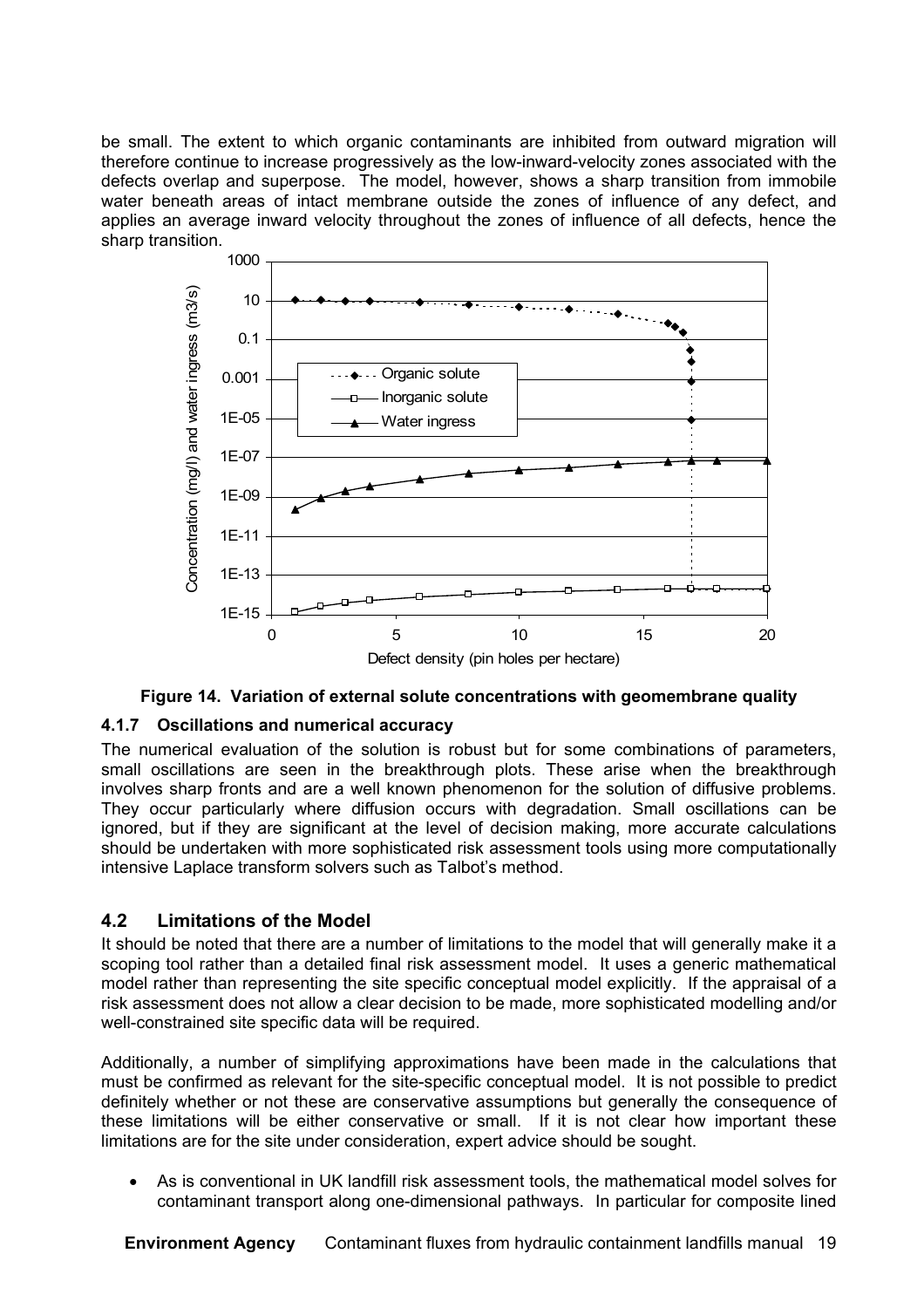be small. The extent to which organic contaminants are inhibited from outward migration will therefore continue to increase progressively as the low-inward-velocity zones associated with the defects overlap and superpose. The model, however, shows a sharp transition from immobile water beneath areas of intact membrane outside the zones of influence of any defect, and applies an average inward velocity throughout the zones of influence of all defects, hence the sharp transition.



#### **Figure 14. Variation of external solute concentrations with geomembrane quality**

#### **4.1.7 Oscillations and numerical accuracy**

The numerical evaluation of the solution is robust but for some combinations of parameters, small oscillations are seen in the breakthrough plots. These arise when the breakthrough involves sharp fronts and are a well known phenomenon for the solution of diffusive problems. They occur particularly where diffusion occurs with degradation. Small oscillations can be ignored, but if they are significant at the level of decision making, more accurate calculations should be undertaken with more sophisticated risk assessment tools using more computationally intensive Laplace transform solvers such as Talbot's method.

#### **4.2 Limitations of the Model**

It should be noted that there are a number of limitations to the model that will generally make it a scoping tool rather than a detailed final risk assessment model. It uses a generic mathematical model rather than representing the site specific conceptual model explicitly. If the appraisal of a risk assessment does not allow a clear decision to be made, more sophisticated modelling and/or well-constrained site specific data will be required.

Additionally, a number of simplifying approximations have been made in the calculations that must be confirmed as relevant for the site-specific conceptual model. It is not possible to predict definitely whether or not these are conservative assumptions but generally the consequence of these limitations will be either conservative or small. If it is not clear how important these limitations are for the site under consideration, expert advice should be sought.

• As is conventional in UK landfill risk assessment tools, the mathematical model solves for contaminant transport along one-dimensional pathways. In particular for composite lined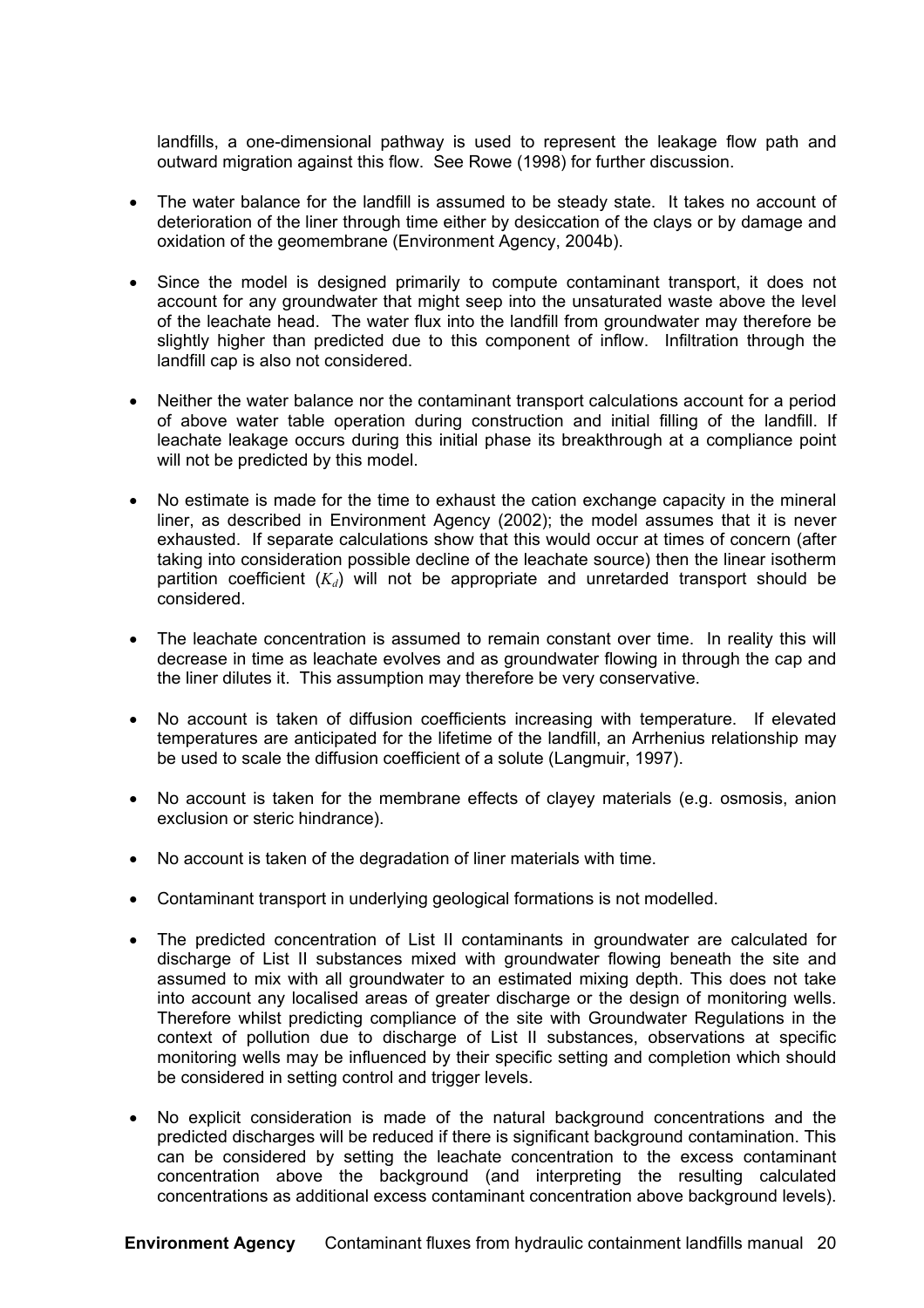landfills, a one-dimensional pathway is used to represent the leakage flow path and outward migration against this flow. See Rowe (1998) for further discussion.

- The water balance for the landfill is assumed to be steady state. It takes no account of deterioration of the liner through time either by desiccation of the clays or by damage and oxidation of the geomembrane (Environment Agency, 2004b).
- Since the model is designed primarily to compute contaminant transport, it does not account for any groundwater that might seep into the unsaturated waste above the level of the leachate head. The water flux into the landfill from groundwater may therefore be slightly higher than predicted due to this component of inflow. Infiltration through the landfill cap is also not considered.
- Neither the water balance nor the contaminant transport calculations account for a period of above water table operation during construction and initial filling of the landfill. If leachate leakage occurs during this initial phase its breakthrough at a compliance point will not be predicted by this model.
- No estimate is made for the time to exhaust the cation exchange capacity in the mineral liner, as described in Environment Agency (2002); the model assumes that it is never exhausted. If separate calculations show that this would occur at times of concern (after taking into consideration possible decline of the leachate source) then the linear isotherm partition coefficient  $(K_d)$  will not be appropriate and unretarded transport should be considered.
- The leachate concentration is assumed to remain constant over time. In reality this will decrease in time as leachate evolves and as groundwater flowing in through the cap and the liner dilutes it. This assumption may therefore be very conservative.
- No account is taken of diffusion coefficients increasing with temperature. If elevated temperatures are anticipated for the lifetime of the landfill, an Arrhenius relationship may be used to scale the diffusion coefficient of a solute (Langmuir, 1997).
- No account is taken for the membrane effects of clayey materials (e.g. osmosis, anion exclusion or steric hindrance).
- No account is taken of the degradation of liner materials with time.
- Contaminant transport in underlying geological formations is not modelled.
- The predicted concentration of List II contaminants in groundwater are calculated for discharge of List II substances mixed with groundwater flowing beneath the site and assumed to mix with all groundwater to an estimated mixing depth. This does not take into account any localised areas of greater discharge or the design of monitoring wells. Therefore whilst predicting compliance of the site with Groundwater Regulations in the context of pollution due to discharge of List II substances, observations at specific monitoring wells may be influenced by their specific setting and completion which should be considered in setting control and trigger levels.
- No explicit consideration is made of the natural background concentrations and the predicted discharges will be reduced if there is significant background contamination. This can be considered by setting the leachate concentration to the excess contaminant concentration above the background (and interpreting the resulting calculated concentrations as additional excess contaminant concentration above background levels).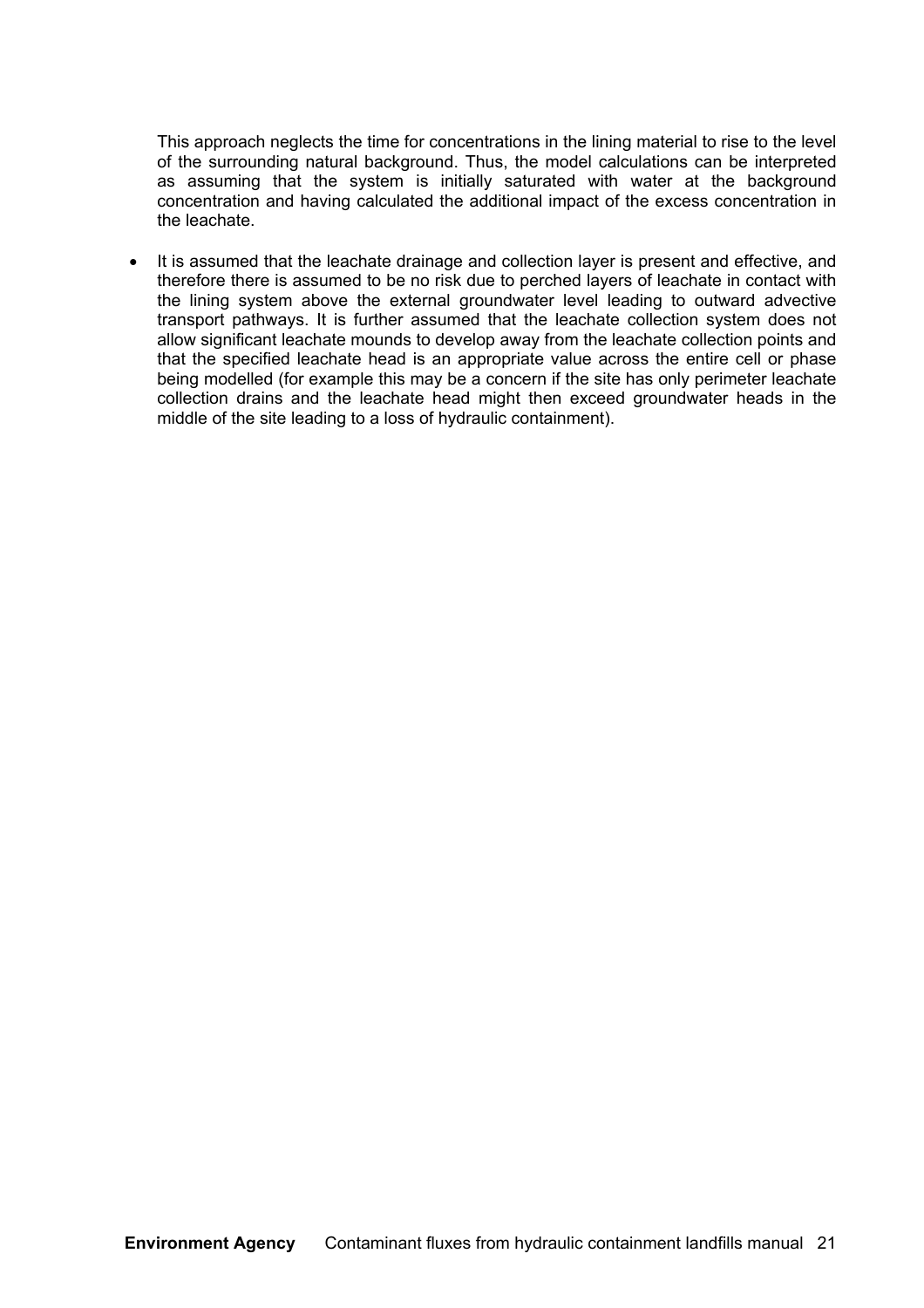This approach neglects the time for concentrations in the lining material to rise to the level of the surrounding natural background. Thus, the model calculations can be interpreted as assuming that the system is initially saturated with water at the background concentration and having calculated the additional impact of the excess concentration in the leachate.

It is assumed that the leachate drainage and collection layer is present and effective, and therefore there is assumed to be no risk due to perched layers of leachate in contact with the lining system above the external groundwater level leading to outward advective transport pathways. It is further assumed that the leachate collection system does not allow significant leachate mounds to develop away from the leachate collection points and that the specified leachate head is an appropriate value across the entire cell or phase being modelled (for example this may be a concern if the site has only perimeter leachate collection drains and the leachate head might then exceed groundwater heads in the middle of the site leading to a loss of hydraulic containment).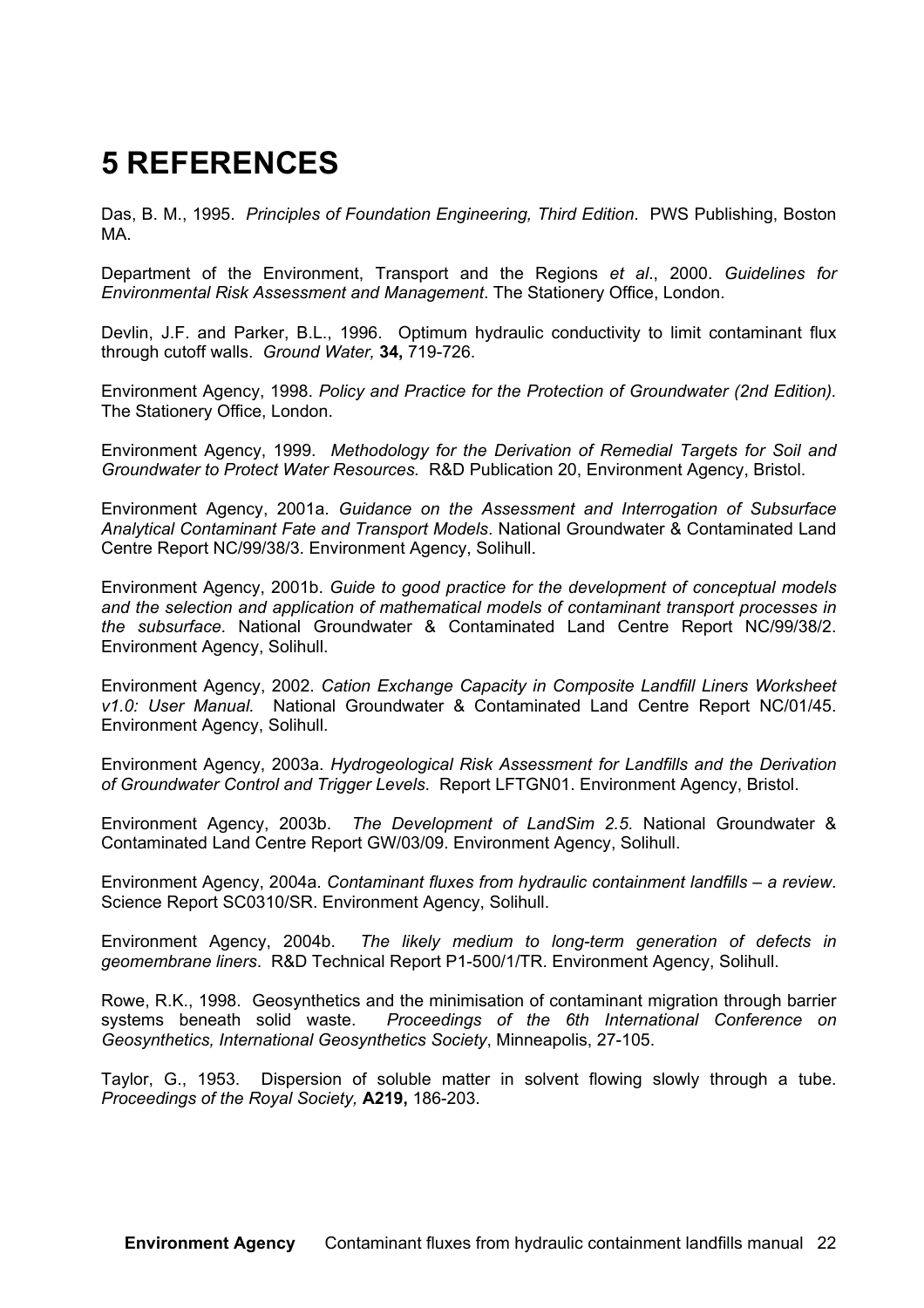## **5 REFERENCES**

Das, B. M., 1995. *Principles of Foundation Engineering, Third Edition*. PWS Publishing, Boston MA.

Department of the Environment, Transport and the Regions *et al*., 2000. *Guidelines for Environmental Risk Assessment and Management*. The Stationery Office, London.

Devlin, J.F. and Parker, B.L., 1996. Optimum hydraulic conductivity to limit contaminant flux through cutoff walls. *Ground Water,* **34,** 719-726.

Environment Agency, 1998. *Policy and Practice for the Protection of Groundwater (2nd Edition).* The Stationery Office, London.

Environment Agency, 1999. *Methodology for the Derivation of Remedial Targets for Soil and Groundwater to Protect Water Resources.* R&D Publication 20, Environment Agency, Bristol.

Environment Agency, 2001a. *Guidance on the Assessment and Interrogation of Subsurface Analytical Contaminant Fate and Transport Models*. National Groundwater & Contaminated Land Centre Report NC/99/38/3. Environment Agency, Solihull.

Environment Agency, 2001b. *Guide to good practice for the development of conceptual models and the selection and application of mathematical models of contaminant transport processes in the subsurface*. National Groundwater & Contaminated Land Centre Report NC/99/38/2. Environment Agency, Solihull.

Environment Agency, 2002. *Cation Exchange Capacity in Composite Landfill Liners Worksheet v1.0: User Manual.* National Groundwater & Contaminated Land Centre Report NC/01/45. Environment Agency, Solihull.

Environment Agency, 2003a. *Hydrogeological Risk Assessment for Landfills and the Derivation of Groundwater Control and Trigger Levels*. Report LFTGN01. Environment Agency, Bristol.

Environment Agency, 2003b. *The Development of LandSim 2.5*. National Groundwater & Contaminated Land Centre Report GW/03/09. Environment Agency, Solihull.

Environment Agency, 2004a. *Contaminant fluxes from hydraulic containment landfills – a review*. Science Report SC0310/SR. Environment Agency, Solihull.

Environment Agency, 2004b. *The likely medium to long-term generation of defects in geomembrane liners*. R&D Technical Report P1-500/1/TR. Environment Agency, Solihull.

Rowe, R.K., 1998. Geosynthetics and the minimisation of contaminant migration through barrier systems beneath solid waste. *Proceedings of the 6th International Conference on Geosynthetics, International Geosynthetics Society*, Minneapolis, 27-105.

Taylor, G., 1953. Dispersion of soluble matter in solvent flowing slowly through a tube. *Proceedings of the Royal Society,* **A219,** 186-203.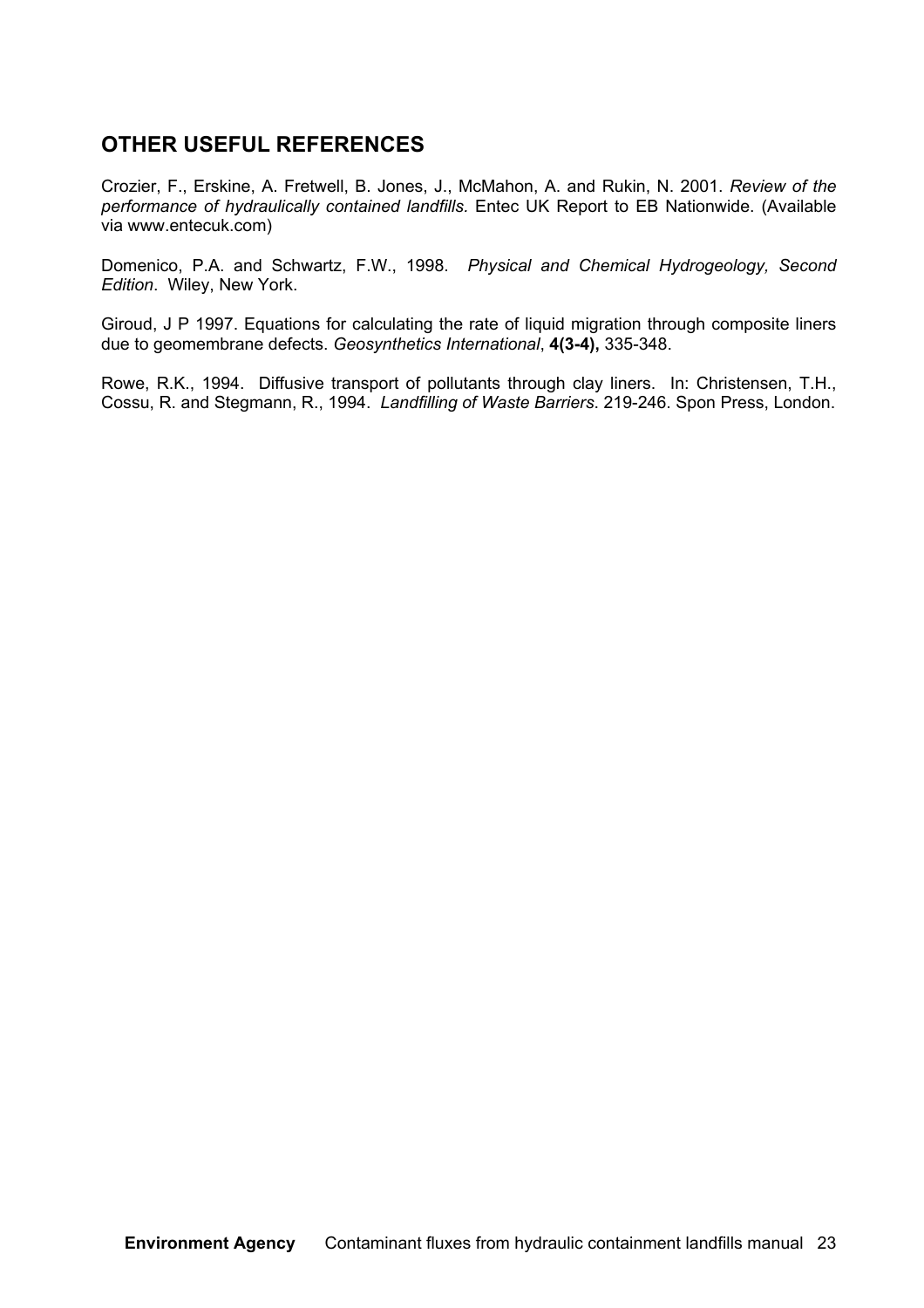#### **OTHER USEFUL REFERENCES**

Crozier, F., Erskine, A. Fretwell, B. Jones, J., McMahon, A. and Rukin, N. 2001. *Review of the performance of hydraulically contained landfills.* Entec UK Report to EB Nationwide. (Available via www.entecuk.com)

Domenico, P.A. and Schwartz, F.W., 1998. *Physical and Chemical Hydrogeology, Second Edition*. Wiley, New York.

Giroud, J P 1997. Equations for calculating the rate of liquid migration through composite liners due to geomembrane defects. *Geosynthetics International*, **4(3-4),** 335-348.

Rowe, R.K., 1994. Diffusive transport of pollutants through clay liners. In: Christensen, T.H., Cossu, R. and Stegmann, R., 1994. *Landfilling of Waste Barriers*. 219-246. Spon Press, London.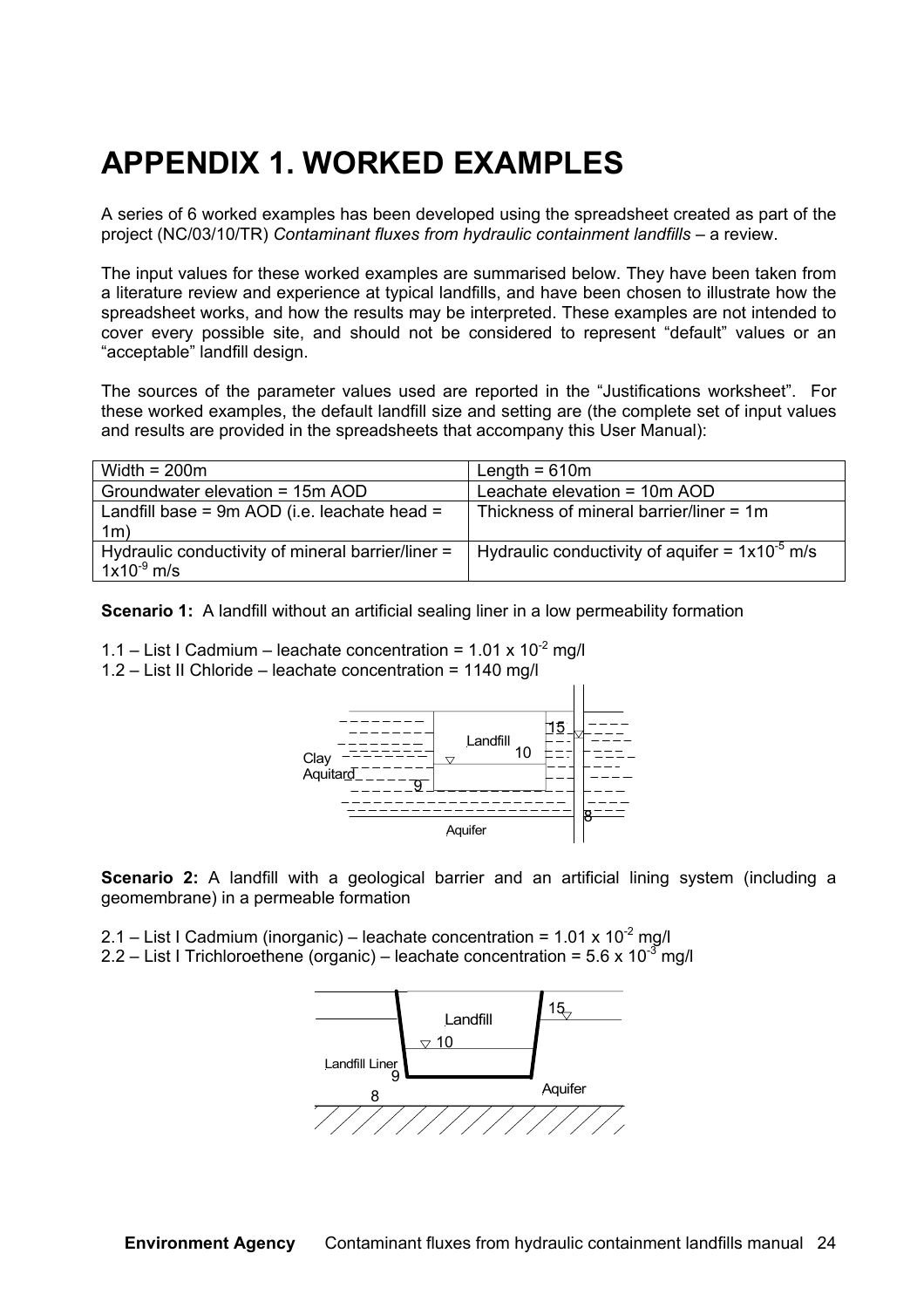### **APPENDIX 1. WORKED EXAMPLES**

A series of 6 worked examples has been developed using the spreadsheet created as part of the project (NC/03/10/TR) *Contaminant fluxes from hydraulic containment landfills* – a review.

The input values for these worked examples are summarised below. They have been taken from a literature review and experience at typical landfills, and have been chosen to illustrate how the spreadsheet works, and how the results may be interpreted. These examples are not intended to cover every possible site, and should not be considered to represent "default" values or an "acceptable" landfill design.

The sources of the parameter values used are reported in the "Justifications worksheet". For these worked examples, the default landfill size and setting are (the complete set of input values and results are provided in the spreadsheets that accompany this User Manual):

| Width = $200m$                                                       | Length = $610m$                                     |
|----------------------------------------------------------------------|-----------------------------------------------------|
| Groundwater elevation = 15m AOD                                      | Leachate elevation = 10m AOD                        |
| Landfill base = $9m$ AOD (i.e. leachate head =<br>1 <sub>m</sub>     | Thickness of mineral barrier/liner = $1m$           |
| Hydraulic conductivity of mineral barrier/liner =<br>$1x10^{-9}$ m/s | Hydraulic conductivity of aquifer = $1x10^{-5}$ m/s |

**Scenario 1:** A landfill without an artificial sealing liner in a low permeability formation



1.2 – List II Chloride – leachate concentration = 1140 mg/l



**Scenario 2:** A landfill with a geological barrier and an artificial lining system (including a geomembrane) in a permeable formation

2.1 – List I Cadmium (inorganic) – leachate concentration =  $1.01 \times 10^{-2}$  mg/l 2.2 – List I Trichloroethene (organic) – leachate concentration =  $5.6 \times 10^{-3}$  mg/l

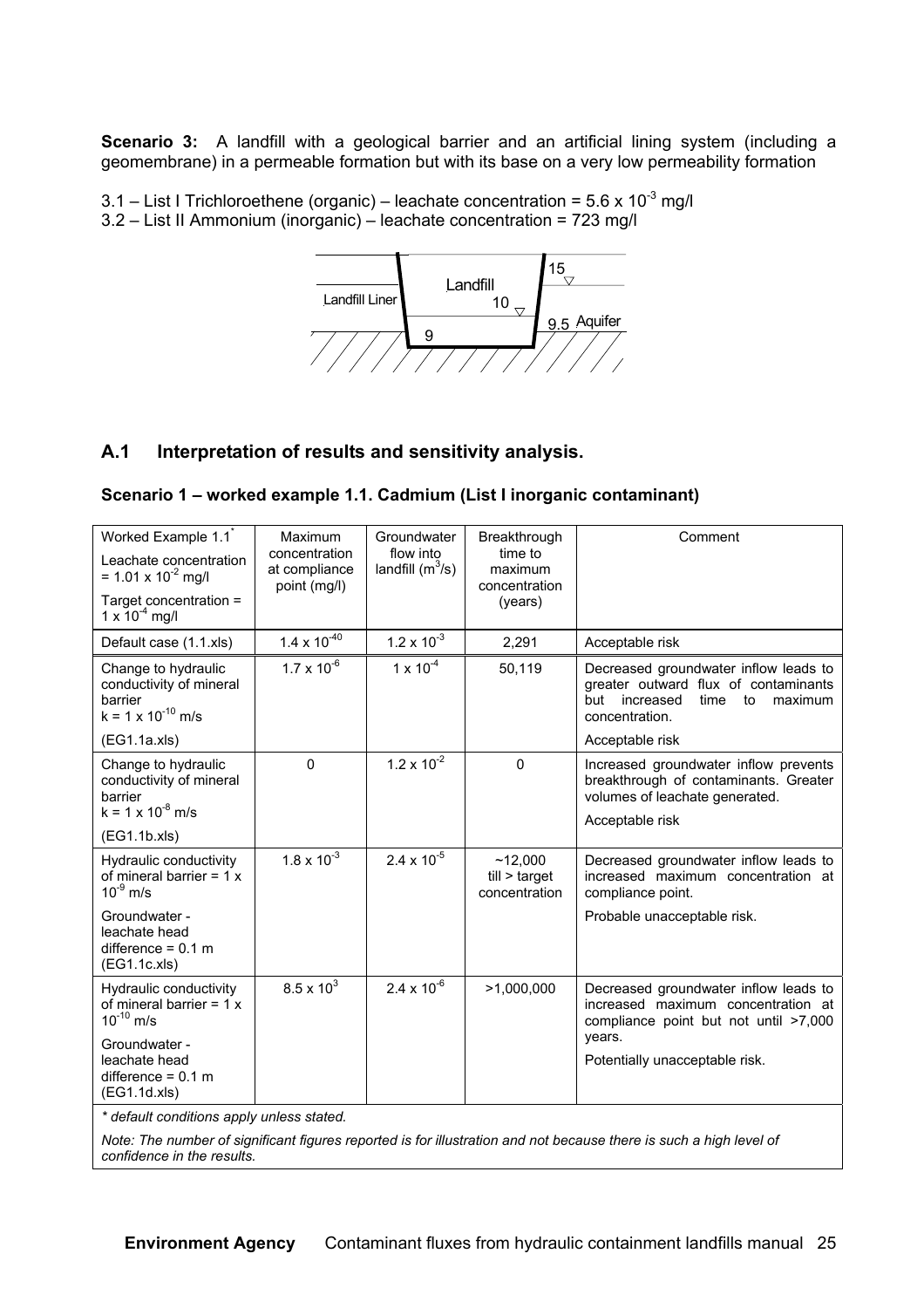**Scenario 3:** A landfill with a geological barrier and an artificial lining system (including a geomembrane) in a permeable formation but with its base on a very low permeability formation

3.1 – List I Trichloroethene (organic) – leachate concentration =  $5.6 \times 10^{-3}$  mg/l 3.2 – List II Ammonium (inorganic) – leachate concentration = 723 mg/l



#### **A.1 Interpretation of results and sensitivity analysis.**

#### **Scenario 1 – worked example 1.1. Cadmium (List I inorganic contaminant)**

| Worked Example 1.1 <sup>*</sup><br>Leachate concentration<br>= 1.01 x 10 <sup>-2</sup> mg/l<br>Target concentration =<br>1 x $10^{-4}$ mg/l | Maximum<br>concentration<br>at compliance<br>point (mg/l) | Groundwater<br>flow into<br>landfill $(m^3/s)$ | Breakthrough<br>time to<br>maximum<br>concentration<br>(years) | Comment                                                                                                                                                         |
|---------------------------------------------------------------------------------------------------------------------------------------------|-----------------------------------------------------------|------------------------------------------------|----------------------------------------------------------------|-----------------------------------------------------------------------------------------------------------------------------------------------------------------|
| Default case (1.1.xls)                                                                                                                      | $1.4 \times 10^{-40}$                                     | $1.2 \times 10^{-3}$                           | 2,291                                                          | Acceptable risk                                                                                                                                                 |
| Change to hydraulic<br>conductivity of mineral<br>barrier<br>$k = 1 \times 10^{-10}$ m/s<br>(EG1.1a.xls)                                    | $1.7 \times 10^{-6}$                                      | $1 \times 10^{-4}$                             | 50,119                                                         | Decreased groundwater inflow leads to<br>greater outward flux of contaminants<br>but<br>increased<br>time<br>to<br>maximum<br>concentration.<br>Acceptable risk |
| Change to hydraulic<br>conductivity of mineral<br>barrier<br>$k = 1 \times 10^{-8}$ m/s                                                     | 0                                                         | $1.2 \times 10^{-2}$                           | $\Omega$                                                       | Increased groundwater inflow prevents<br>breakthrough of contaminants. Greater<br>volumes of leachate generated.<br>Acceptable risk                             |
| (EG1.1b.xls)                                                                                                                                |                                                           |                                                |                                                                |                                                                                                                                                                 |
| Hydraulic conductivity<br>of mineral barrier = $1 x$<br>$10^{-9}$ m/s                                                                       | $1.8 \times 10^{-3}$                                      | $2.4 \times 10^{-5}$                           | ~12.000<br>$t$ ill > target<br>concentration                   | Decreased groundwater inflow leads to<br>increased maximum concentration at<br>compliance point.                                                                |
| Groundwater -<br>leachate head<br>difference = $0.1$ m<br>(EG1.1c.xls)                                                                      |                                                           |                                                |                                                                | Probable unacceptable risk.                                                                                                                                     |
| Hydraulic conductivity<br>of mineral barrier = $1 x$<br>$10^{-10}$ m/s                                                                      | $8.5 \times 10^{3}$                                       | $2.4 \times 10^{-6}$                           | >1,000,000                                                     | Decreased groundwater inflow leads to<br>increased maximum concentration at<br>compliance point but not until >7,000                                            |
| Groundwater -<br>leachate head<br>difference = $0.1$ m<br>(EG1.1d.xls)                                                                      |                                                           |                                                |                                                                | vears.<br>Potentially unacceptable risk.                                                                                                                        |
| * default conditions apply unless stated.                                                                                                   |                                                           |                                                |                                                                |                                                                                                                                                                 |

*Note: The number of significant figures reported is for illustration and not because there is such a high level of*

*confidence in the results.*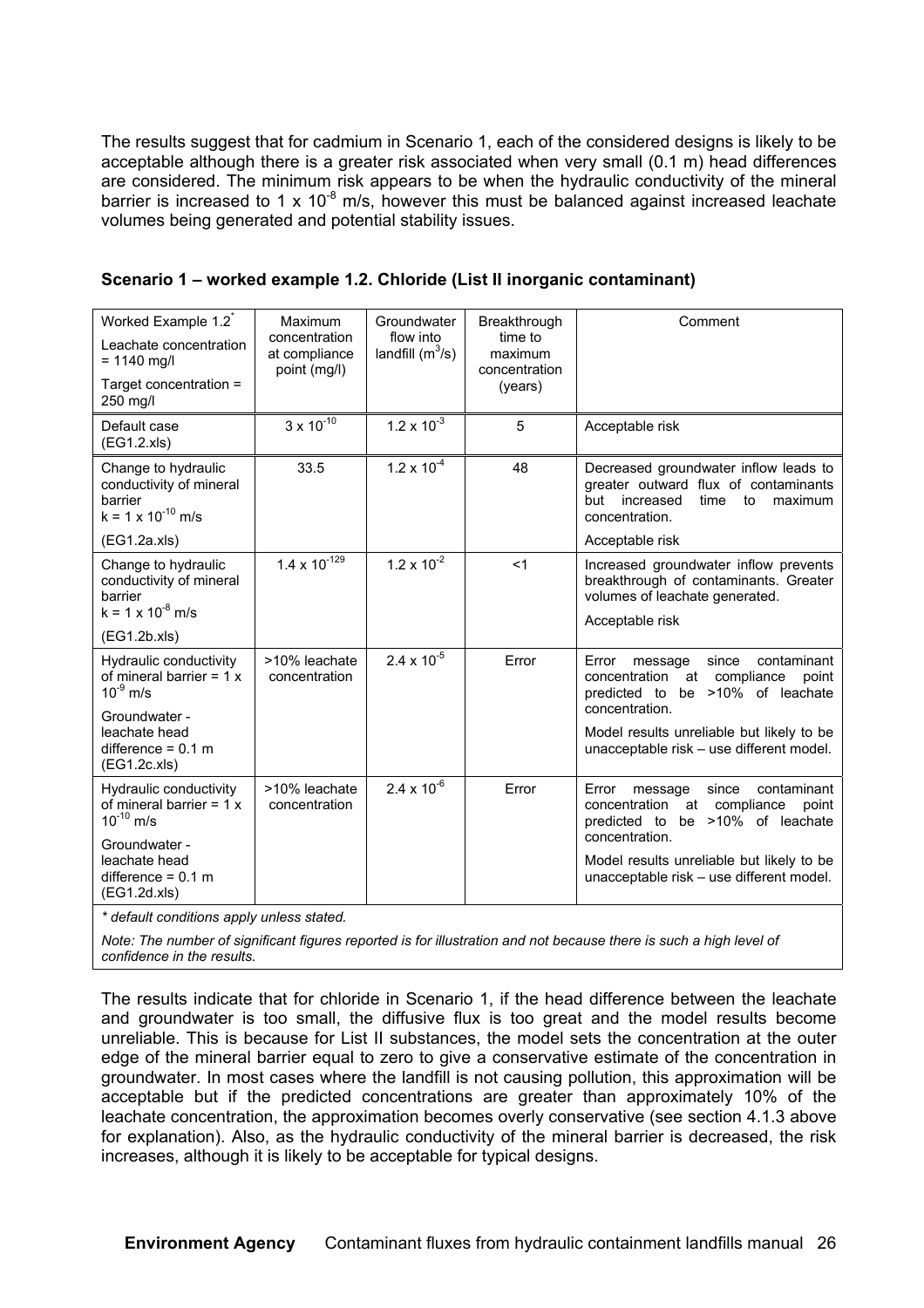The results suggest that for cadmium in Scenario 1, each of the considered designs is likely to be acceptable although there is a greater risk associated when very small (0.1 m) head differences are considered. The minimum risk appears to be when the hydraulic conductivity of the mineral barrier is increased to 1 x 10<sup>-8</sup> m/s, however this must be balanced against increased leachate volumes being generated and potential stability issues.

| Worked Example 1.2 <sup>*</sup><br>Leachate concentration<br>$= 1140$ mg/l<br>Target concentration =<br>250 mg/l | Maximum<br>concentration<br>at compliance<br>point (mg/l) | Groundwater<br>flow into<br>landfill $(m^3/s)$ | Breakthrough<br>time to<br>maximum<br>concentration<br>(years) | Comment                                                                                                                                      |
|------------------------------------------------------------------------------------------------------------------|-----------------------------------------------------------|------------------------------------------------|----------------------------------------------------------------|----------------------------------------------------------------------------------------------------------------------------------------------|
| Default case<br>(EG1.2.x s)                                                                                      | $3 \times 10^{-10}$                                       | $1.2 \times 10^{-3}$                           | 5                                                              | Acceptable risk                                                                                                                              |
| Change to hydraulic<br>conductivity of mineral<br>barrier<br>$k = 1 \times 10^{-10}$ m/s                         | 33.5                                                      | $1.2 \times 10^{-4}$                           | 48                                                             | Decreased groundwater inflow leads to<br>greater outward flux of contaminants<br>but<br>increased<br>time<br>to<br>maximum<br>concentration. |
| (EG1.2a.xls)                                                                                                     |                                                           |                                                |                                                                | Acceptable risk                                                                                                                              |
| Change to hydraulic<br>conductivity of mineral<br>barrier<br>$k = 1 \times 10^{-8}$ m/s                          | $1.4 \times 10^{-129}$                                    | $1.2 \times 10^{-2}$                           | $<$ 1                                                          | Increased groundwater inflow prevents<br>breakthrough of contaminants. Greater<br>volumes of leachate generated.<br>Acceptable risk          |
| (EG1.2b.xls)                                                                                                     |                                                           |                                                |                                                                |                                                                                                                                              |
| Hydraulic conductivity<br>of mineral barrier = $1 x$<br>$10^{-9}$ m/s<br>Groundwater -                           | >10% leachate<br>concentration                            | $2.4 \times 10^{-5}$                           | Error                                                          | contaminant<br>since<br>Error<br>message<br>concentration<br>at compliance<br>point<br>predicted to be >10% of leachate<br>concentration.    |
| leachate head<br>difference = $0.1$ m<br>(EG1.2c.xls)                                                            |                                                           |                                                |                                                                | Model results unreliable but likely to be<br>unacceptable risk - use different model.                                                        |
| Hydraulic conductivity<br>of mineral barrier = $1 x$<br>$10^{-10}$ m/s                                           | >10% leachate<br>concentration                            | $2.4 \times 10^{-6}$                           | Error                                                          | Error<br>since<br>contaminant<br>message<br>concentration<br>at compliance<br>point<br>predicted to be >10% of leachate<br>concentration.    |
| Groundwater -<br>leachate head<br>difference = $0.1$ m<br>(EG1.2d.xls)                                           |                                                           |                                                |                                                                | Model results unreliable but likely to be<br>unacceptable risk - use different model.                                                        |

| Scenario 1 – worked example 1.2. Chloride (List II inorganic contaminant) |  |
|---------------------------------------------------------------------------|--|
|---------------------------------------------------------------------------|--|

*\* default conditions apply unless stated.*

*Note: The number of significant figures reported is for illustration and not because there is such a high level of confidence in the results.*

The results indicate that for chloride in Scenario 1, if the head difference between the leachate and groundwater is too small, the diffusive flux is too great and the model results become unreliable. This is because for List II substances, the model sets the concentration at the outer edge of the mineral barrier equal to zero to give a conservative estimate of the concentration in groundwater. In most cases where the landfill is not causing pollution, this approximation will be acceptable but if the predicted concentrations are greater than approximately 10% of the leachate concentration, the approximation becomes overly conservative (see section 4.1.3 above for explanation). Also, as the hydraulic conductivity of the mineral barrier is decreased, the risk increases, although it is likely to be acceptable for typical designs.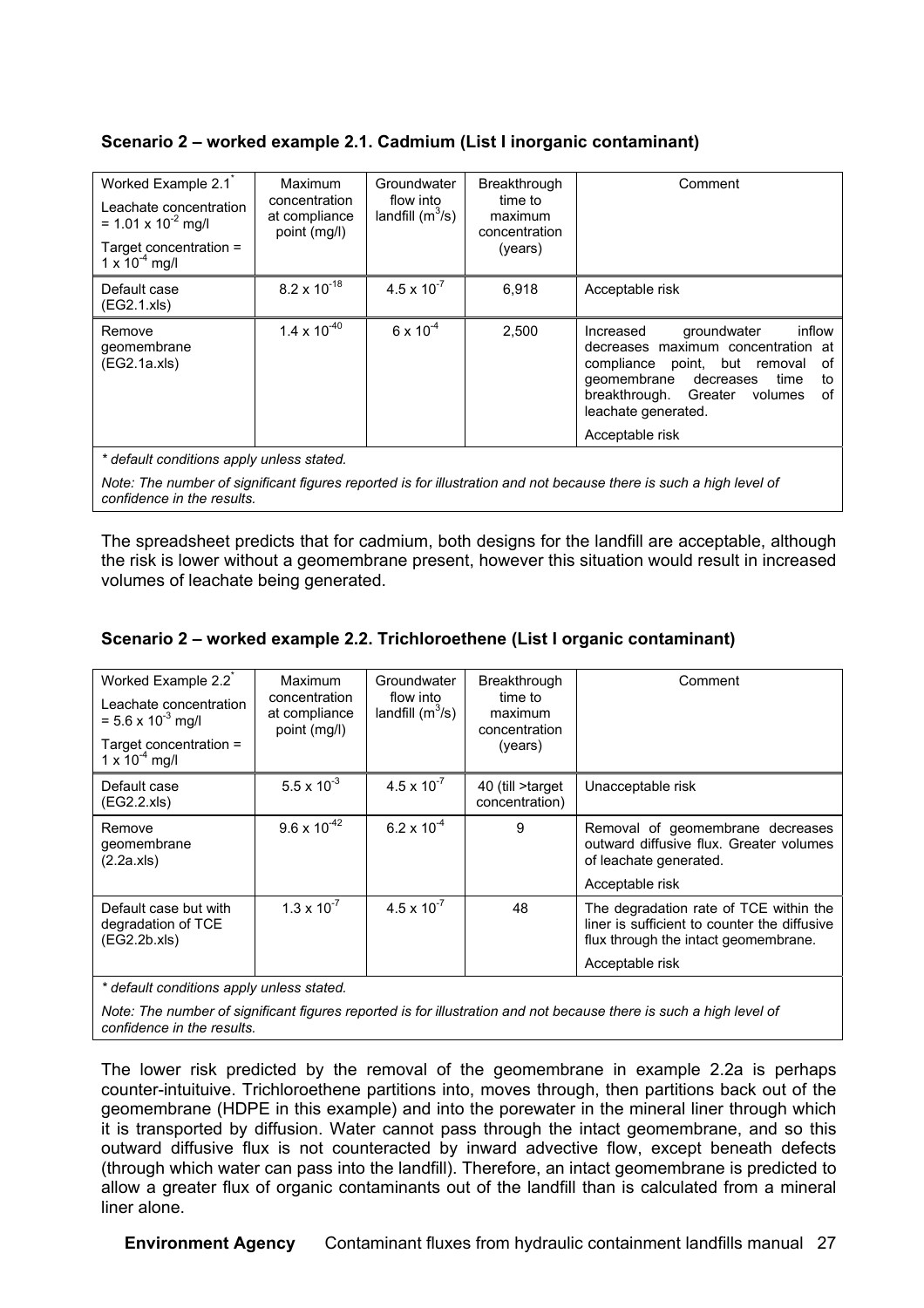#### **Scenario 2 – worked example 2.1. Cadmium (List I inorganic contaminant)**

| Worked Example 2.1 <sup>*</sup><br>Leachate concentration<br>= 1.01 x $10^{-2}$ mg/l<br>Target concentration =<br>$1 \times 10^{-4}$ mg/l | Maximum<br>concentration<br>at compliance<br>point (mg/l) | Groundwater<br>flow into<br>landfill $(m^3/s)$ | Breakthrough<br>time to<br>maximum<br>concentration<br>(years) | Comment                                                                                                                                                                                                                                             |
|-------------------------------------------------------------------------------------------------------------------------------------------|-----------------------------------------------------------|------------------------------------------------|----------------------------------------------------------------|-----------------------------------------------------------------------------------------------------------------------------------------------------------------------------------------------------------------------------------------------------|
| Default case<br>(EG2.1.xls)                                                                                                               | $8.2 \times 10^{-18}$                                     | $4.5 \times 10^{-7}$                           | 6.918                                                          | Acceptable risk                                                                                                                                                                                                                                     |
| Remove<br>geomembrane<br>(EG2.1a.xls)                                                                                                     | $1.4 \times 10^{-40}$                                     | $6 \times 10^{-4}$                             | 2,500                                                          | inflow<br>groundwater<br>Increased<br>decreases maximum concentration at<br>point, but removal<br>0f<br>compliance<br>qeomembrane<br>decreases<br>time<br>to<br>of<br>breakthrough.<br>Greater<br>volumes<br>leachate generated.<br>Acceptable risk |

*\* default conditions apply unless stated.*

*Note: The number of significant figures reported is for illustration and not because there is such a high level of confidence in the results.*

The spreadsheet predicts that for cadmium, both designs for the landfill are acceptable, although the risk is lower without a geomembrane present, however this situation would result in increased volumes of leachate being generated.

#### **Scenario 2 – worked example 2.2. Trichloroethene (List I organic contaminant)**

| Worked Example 2.2<br>Leachate concentration<br>$= 5.6 \times 10^{-3}$ mg/l<br>Target concentration =<br>$1 \times 10^{-4}$ mg/l | Maximum<br>concentration<br>at compliance<br>point (mg/l) | Groundwater<br>flow into<br>landfill $(m^3/s)$ | Breakthrough<br>time to<br>maximum<br>concentration<br>(years) | Comment                                                                                                                                           |
|----------------------------------------------------------------------------------------------------------------------------------|-----------------------------------------------------------|------------------------------------------------|----------------------------------------------------------------|---------------------------------------------------------------------------------------------------------------------------------------------------|
| Default case<br>(EG2.2.x s)                                                                                                      | $5.5 \times 10^{-3}$                                      | $4.5 \times 10^{-7}$                           | 40 (till >target<br>concentration)                             | Unacceptable risk                                                                                                                                 |
| Remove<br>geomembrane<br>(2.2a.x/s)                                                                                              | $9.6 \times 10^{-42}$                                     | $6.2 \times 10^{-4}$                           | 9                                                              | Removal of geomembrane decreases<br>outward diffusive flux. Greater volumes<br>of leachate generated.<br>Acceptable risk                          |
| Default case but with<br>degradation of TCE<br>(EG2.2b.xls)                                                                      | $1.3 \times 10^{-7}$                                      | $4.5 \times 10^{-7}$                           | 48                                                             | The degradation rate of TCE within the<br>liner is sufficient to counter the diffusive<br>flux through the intact geomembrane.<br>Acceptable risk |

*\* default conditions apply unless stated.*

*Note: The number of significant figures reported is for illustration and not because there is such a high level of confidence in the results.*

The lower risk predicted by the removal of the geomembrane in example 2.2a is perhaps counter-intuituive. Trichloroethene partitions into, moves through, then partitions back out of the geomembrane (HDPE in this example) and into the porewater in the mineral liner through which it is transported by diffusion. Water cannot pass through the intact geomembrane, and so this outward diffusive flux is not counteracted by inward advective flow, except beneath defects (through which water can pass into the landfill). Therefore, an intact geomembrane is predicted to allow a greater flux of organic contaminants out of the landfill than is calculated from a mineral liner alone.

**Environment Agency** Contaminant fluxes from hydraulic containment landfills manual 27